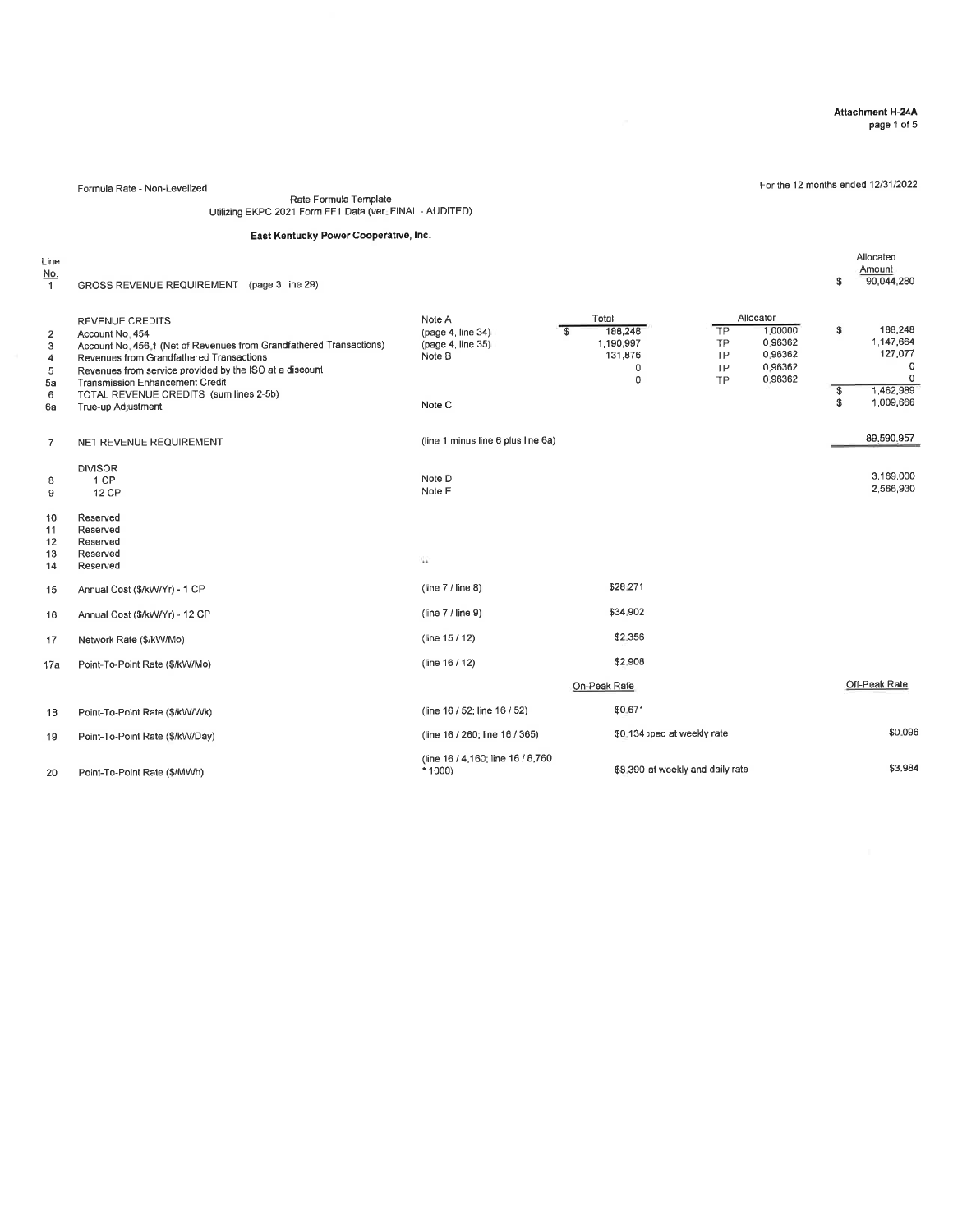### Attachment H-24A

Allocated<br>\$ 90,044,280

page 1 of 5

For the 12 months ended 1213112022

Formula Rate - Non-Levelized

Rate Formula Template Utilizing EKPC 2021 Form FF I Data (ver. FINAL - AUDITED)

### East Kentucky Power Cooperative, lnc.

Line<br><u>No.</u>

<sup>1</sup> GROSS REVENUE REQUIREMENT (page 3, Iine 29)

| $\overline{2}$<br>3<br>4<br>5<br>5a<br>6<br>6a | <b>REVENUE CREDITS</b><br>Account No. 454<br>Account No. 456.1 (Net of Revenues from Grandfathered Transactions)<br>Revenues from Grandfathered Transactions<br>Revenues from service provided by the ISO at a discount<br><b>Transmission Enhancement Credit</b><br>TOTAL REVENUE CREDITS (sum lines 2-5b)<br>True-up Adjustment | Note A<br>(paae 4, line 34)<br>(page 4, line 35)<br>Note B<br>Note C | $\mathbf{s}$ | Total<br>186,248<br>1,190,997<br>131,876<br>$\mathbf 0$<br>$\Omega$ | TP<br>TP<br>TP<br>TP<br><b>TP</b> | Allocator<br>1.00000<br>0.96362<br>0.96362<br>0.96362<br>0.96362 | \$<br>$$\mathbb{S}$$<br>\$ | 188,248<br>1.147.664<br>127,077<br>0<br>0<br>1,462,989<br>1,009,666 |
|------------------------------------------------|-----------------------------------------------------------------------------------------------------------------------------------------------------------------------------------------------------------------------------------------------------------------------------------------------------------------------------------|----------------------------------------------------------------------|--------------|---------------------------------------------------------------------|-----------------------------------|------------------------------------------------------------------|----------------------------|---------------------------------------------------------------------|
| $\overline{7}$                                 | NET REVENUE REQUIREMENT                                                                                                                                                                                                                                                                                                           | (line 1 minus line 6 plus line 6a)                                   |              |                                                                     |                                   |                                                                  |                            | 89.590.957                                                          |
| 8<br>9                                         | <b>DIVISOR</b><br>1 CP<br><b>12 CP</b>                                                                                                                                                                                                                                                                                            | Note D<br>Note E                                                     |              |                                                                     |                                   |                                                                  |                            | 3,169,000<br>2,566,930                                              |
| 10<br>11<br>12<br>13<br>14                     | Reserved<br>Reserved<br>Reserved<br>Reserved<br>Reserved                                                                                                                                                                                                                                                                          | h.                                                                   |              |                                                                     |                                   |                                                                  |                            |                                                                     |
| 15                                             | Annual Cost (\$/kW/Yr) - 1 CP                                                                                                                                                                                                                                                                                                     | (line $7/$ line 8)                                                   |              | \$28,271                                                            |                                   |                                                                  |                            |                                                                     |
| 16                                             | Annual Cost (\$/kW/Yr) - 12 CP                                                                                                                                                                                                                                                                                                    | (line $7/$ line 9)                                                   |              | \$34,902                                                            |                                   |                                                                  |                            |                                                                     |
| 17                                             | Network Rate (\$/kW/Mo)                                                                                                                                                                                                                                                                                                           | (line 15/12)                                                         |              | \$2,356                                                             |                                   |                                                                  |                            |                                                                     |
| 17a                                            | Point-To-Point Rate (\$/kW/Mo)                                                                                                                                                                                                                                                                                                    | (line 16 / 12)                                                       |              | \$2,908                                                             |                                   |                                                                  |                            |                                                                     |
|                                                |                                                                                                                                                                                                                                                                                                                                   |                                                                      |              | On-Peak Rate                                                        |                                   |                                                                  |                            | Off-Peak Rate                                                       |
| 18                                             | Point-To-Point Rate (\$/kW/Wk)                                                                                                                                                                                                                                                                                                    | (line 16 / 52; line 16 / 52)                                         |              | \$0.671                                                             |                                   |                                                                  |                            |                                                                     |
| 19                                             | Point-To-Point Rate (\$/kW/Day)                                                                                                                                                                                                                                                                                                   | (line 16 / 260; line 16 / 365)                                       |              | \$0.134 ped at weekly rate                                          |                                   |                                                                  |                            | \$0.096                                                             |
| 20                                             | Point-To-Point Rate (\$/MWh)                                                                                                                                                                                                                                                                                                      | (line 16 / 4,160; line 16 / 8,760)<br>$*1000$                        |              | \$8,390 at weekly and daily rate                                    |                                   |                                                                  |                            | \$3,984                                                             |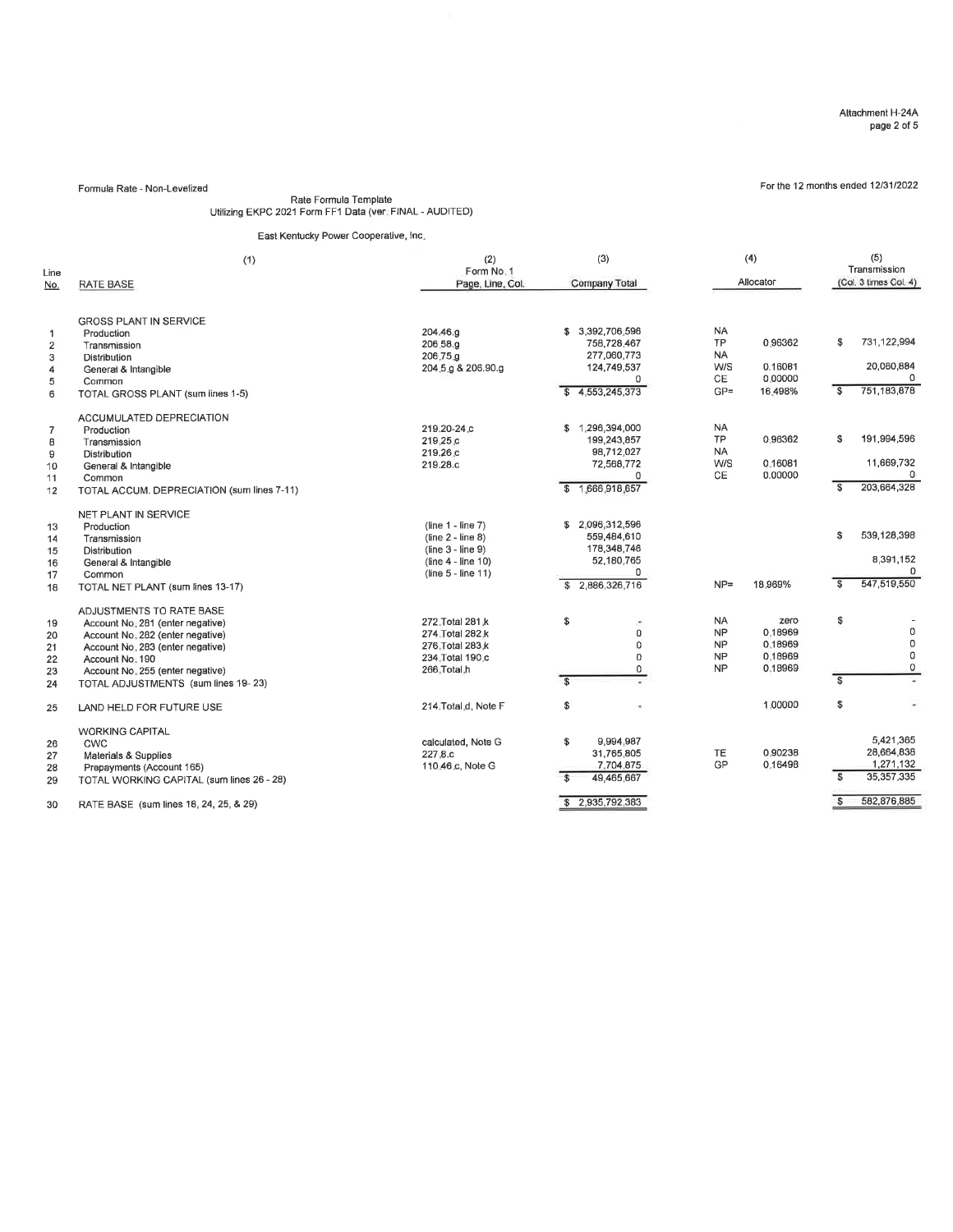# For the 12 months ended '1213112022 Formula Rate - Non-Levelized Rate Formula Template Utilizing EKPC 2021 Form FF1 Data (ver. FINAL - AUDITED)

### East Kentucky Power Cooperative, Inc.

| Line<br><u>No.</u>                                 | (1)<br><b>RATE BASE</b>                                                                                                                                                                                                            | (2)<br>Form No. 1<br>Page, Line, Col.                                                                           | (3)<br>Company Total                                                                                   | (4)<br>Allocator                                                                                                  | (5)<br>Transmission<br>(Col. 3 times Col. 4)                                                        |
|----------------------------------------------------|------------------------------------------------------------------------------------------------------------------------------------------------------------------------------------------------------------------------------------|-----------------------------------------------------------------------------------------------------------------|--------------------------------------------------------------------------------------------------------|-------------------------------------------------------------------------------------------------------------------|-----------------------------------------------------------------------------------------------------|
| $\mathbf{1}$<br>$\overline{2}$<br>3<br>4<br>5<br>6 | <b>GROSS PLANT IN SERVICE</b><br>Production<br>Transmission<br>Distribution<br>General & Intangible<br>Common<br>TOTAL GROSS PLANT (sum lines 1-5)                                                                                 | 204.46.a<br>206.58.a<br>206.75.g<br>204.5.g & 206.90.g                                                          | 3,392,706,596<br>s.<br>758,728,467<br>277,060,773<br>124,749,537<br>$\Omega$<br>4,553,245,373<br>S.    | <b>NA</b><br><b>TP</b><br>0.96362<br><b>NA</b><br>W/S<br>0.16081<br>CE<br>0.00000<br>$GP =$<br>16.498%            | 731.122.994<br>\$<br>20,060,884<br>$\Omega$<br>751,183,878<br>$\mathbf{s}$                          |
| $\overline{7}$<br>8<br>9<br>10<br>11<br>12         | ACCUMULATED DEPRECIATION<br>Production<br>Transmission<br>Distribution<br>General & Intangible<br>Common<br>TOTAL ACCUM. DEPRECIATION (sum lines 7-11)                                                                             | 219.20-24.c<br>219.25.c<br>219.26 <sub>.c</sub><br>219.28.c                                                     | 1,296,394,000<br>S.<br>199,243,857<br>98,712,027<br>72,568,772<br>$^{\circ}$<br>1,666,918,657<br>\$    | NA<br><b>TP</b><br>0.96362<br><b>NA</b><br>W/S<br>0.16081<br>CE<br>0.00000                                        | \$<br>191,994,596<br>11,669,732<br>$\Omega$<br>203.664.328<br>\$                                    |
| 13<br>14<br>15<br>16<br>17<br>18                   | NET PLANT IN SERVICE<br>Production<br>Transmission<br>Distribution<br>General & Intangible<br>Common<br>TOTAL NET PLANT (sum lines 13-17)                                                                                          | $(line 1 - line 7)$<br>$(line 2 - line 8)$<br>$(line 3 - line 9)$<br>(line $4 -$ line 10)<br>(line 5 - line 11) | 2.096.312,596<br>s.<br>559,484,610<br>178,348,746<br>52,180,765<br>$\Omega$<br>2,886,326,716<br>£.     | $NP =$<br>18.969%                                                                                                 | 539,128,398<br>\$<br>8,391,152<br>U.<br>547,519,550<br>$\overline{\mathbf{s}}$                      |
| 19<br>20<br>21<br>22<br>23<br>24                   | ADJUSTMENTS TO RATE BASE<br>Account No. 281 (enter negative)<br>Account No. 282 (enter negative)<br>Account No. 283 (enter negative)<br>Account No. 190<br>Account No. 255 (enter negative)<br>TOTAL ADJUSTMENTS (sum lines 19-23) | 272. Total 281.k<br>274. Total 282.k<br>276. Total 283.k<br>234. Total 190.c<br>266.Total.h                     | \$<br>$\overline{0}$<br>$\Omega$<br>$\Omega$<br>$\Omega$<br>$\overline{\mathbf{s}}$                    | <b>NA</b><br>zero<br><b>NP</b><br>0.18969<br><b>NP</b><br>0.18969<br>0.18969<br><b>NP</b><br><b>NP</b><br>0.18969 | \$<br>0<br>$\mathbf 0$<br>0<br>$\mathbf 0$<br>$\mathbf{s}$                                          |
| 25                                                 | LAND HELD FOR FUTURE USE                                                                                                                                                                                                           | 214. Total d, Note F                                                                                            | \$                                                                                                     | 1.00000                                                                                                           | \$<br>÷                                                                                             |
| 26<br>27<br>28<br>29<br>30                         | <b>WORKING CAPITAL</b><br>CWC<br>Materials & Supplies<br>Prepayments (Account 165)<br>TOTAL WORKING CAPITAL (sum lines 26 - 28)<br>RATE BASE (sum lines 18, 24, 25, & 29)                                                          | calculated, Note G<br>227.8.c<br>110.46.c, Note G                                                               | \$<br>9,994,987<br>31,765,805<br>7,704,875<br>$\overline{\mathbf{s}}$<br>49.465.667<br>\$2,935,792,383 | 0.90238<br><b>TE</b><br>GP<br>0.16498                                                                             | 5,421,365<br>28,664,838<br>1,271,132<br>35, 357, 335<br>$\mathbf{s}$<br>582,876,885<br>$\mathbf{s}$ |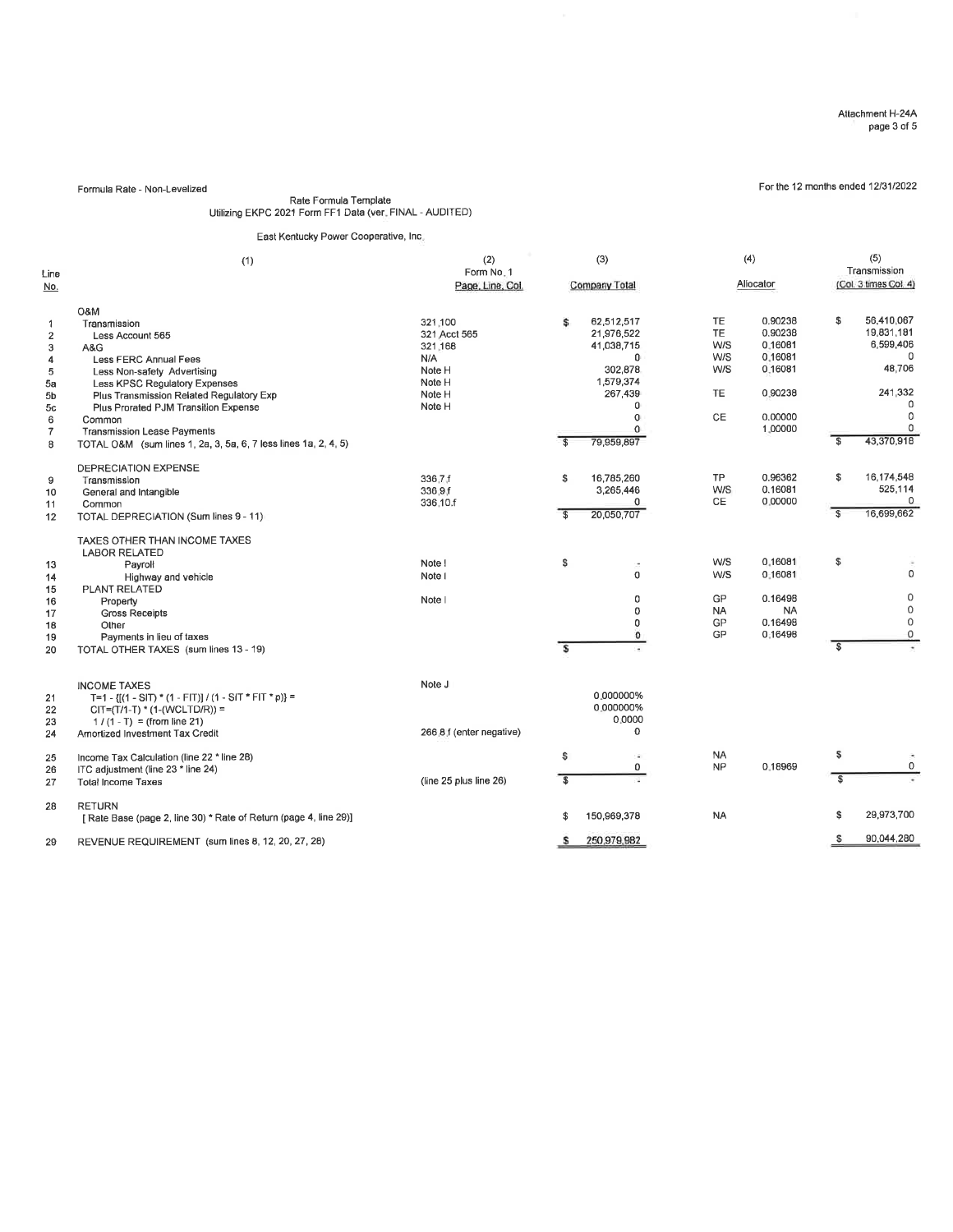For the 12 months ended 12/31/2022

Formula Rate - Non-Levelized

### Rate Formula Template Utilizing EKPC 2021 Form FF1 Data (ver. FINAL - AUDITED)

### East Kenlucky Power Cooperative, lnc.

| Line             | (1)                                                               | (2)<br>Form No. 1        |                         | (3)                      |           | (4)       |           |                         | (5)<br>Transmission   |  |  |
|------------------|-------------------------------------------------------------------|--------------------------|-------------------------|--------------------------|-----------|-----------|-----------|-------------------------|-----------------------|--|--|
| No.              |                                                                   | Page, Line, Col.         |                         | Company Total            |           |           | Aliocator |                         | (Col. 3 times Col. 4) |  |  |
|                  | <b>O&amp;M</b>                                                    |                          |                         |                          |           |           |           |                         |                       |  |  |
| $\overline{1}$   | Transmission                                                      | 321,100                  | \$                      | 62,512,517               | TE        |           | 0.90238   | \$                      | 56.410.067            |  |  |
| $\boldsymbol{2}$ | Less Account 565                                                  | 321 Acct 565             |                         | 21,976,522               | <b>TE</b> |           | 0.90238   |                         | 19,831,181            |  |  |
| 3                | A&G                                                               | 321.168                  |                         | 41,038,715               |           | W/S       | 0.16081   |                         | 6,599,406             |  |  |
| 4                | Less FERC Annual Fees                                             | N/A                      |                         | n                        |           | W/S       | 0.16081   |                         | $\Omega$              |  |  |
| 5                | Less Non-safety Advertising                                       | Note H                   |                         | 302,878                  |           | W/S       | 0.16081   |                         | 48,706                |  |  |
| 5a               | Less KPSC Regulatory Expenses                                     | Note H                   |                         | 1.579.374                |           |           |           |                         |                       |  |  |
| 5b               | Plus Transmission Related Regulatory Exp                          | Note H                   |                         | 267,439                  |           | TE.       | 0.90238   |                         | 241,332               |  |  |
| 5c               | Plus Prorated PJM Transition Expense                              | Note H                   |                         | 0                        |           |           |           |                         |                       |  |  |
| 6                | Common                                                            |                          |                         | 0                        |           | <b>CE</b> | 0.00000   |                         | 0                     |  |  |
| $\overline{7}$   | <b>Transmission Lease Payments</b>                                |                          |                         | $\Omega$                 |           |           | 1.00000   |                         | $\Omega$              |  |  |
| 8                | TOTAL O&M (sum lines 1, 2a, 3, 5a, 6, 7 less lines 1a, 2, 4, 5)   |                          |                         | 79,959,897               |           |           |           | S                       | 43,370,918            |  |  |
|                  | DEPRECIATION EXPENSE                                              |                          |                         |                          |           |           |           |                         |                       |  |  |
| 9                | Transmission                                                      | 336.7.f                  | \$                      | 16,785,260               |           | TP        | 0.96362   | \$                      | 16,174,548            |  |  |
| 10               | General and Intangible                                            | 336.9.f                  |                         | 3,265,446                |           | W/S       | 0.16081   |                         | 525,114               |  |  |
| 11               | Common                                                            | 336.10.f                 |                         | 0                        |           | <b>CE</b> | 0.00000   |                         | $\Omega$              |  |  |
| 12               | TOTAL DEPRECIATION (Sum lines 9 - 11)                             |                          | $\overline{\mathbf{s}}$ | 20,050,707               |           |           |           | £.                      | 16,699,662            |  |  |
|                  |                                                                   |                          |                         |                          |           |           |           |                         |                       |  |  |
|                  | TAXES OTHER THAN INCOME TAXES                                     |                          |                         |                          |           |           |           |                         |                       |  |  |
|                  | <b>LABOR RELATED</b>                                              |                          |                         |                          |           | W/S       | 0.16081   | \$                      |                       |  |  |
| 13               | Payroll                                                           | Note !                   | \$                      | $\overline{\phantom{a}}$ |           |           |           |                         | $\Omega$              |  |  |
| 14               | Highway and vehicle                                               | Note I                   |                         | $\Omega$                 |           | W/S       | 0.16081   |                         |                       |  |  |
| 15               | <b>PLANT RELATED</b>                                              |                          |                         |                          |           |           |           |                         | $\circ$               |  |  |
| 16               | Property                                                          | Note                     |                         | 0                        |           | GP        | 0.16498   |                         | $\mathbb O$           |  |  |
| 17               | <b>Gross Receipts</b>                                             |                          |                         | 0                        |           | <b>NA</b> | <b>NA</b> |                         | $\mathbf 0$           |  |  |
| 18               | Other                                                             |                          |                         | 0                        |           | GP        | 0.16498   |                         | 0                     |  |  |
| 19               | Payments in lieu of taxes                                         |                          |                         | $\Omega$                 |           | GP        | 0.16498   |                         |                       |  |  |
| 20               | TOTAL OTHER TAXES (sum lines 13 - 19)                             |                          | s                       |                          |           |           |           | $\overline{\mathbf{s}}$ |                       |  |  |
|                  |                                                                   |                          |                         |                          |           |           |           |                         |                       |  |  |
|                  | <b>INCOME TAXES</b>                                               | Note J                   |                         |                          |           |           |           |                         |                       |  |  |
| 21               | T=1 - $\{[(1 - S)T) * (1 - F]T\} / (1 - S)T * F]T * p$ =          |                          |                         | 0.000000%                |           |           |           |                         |                       |  |  |
| 22               | $CIT=(T/1-T)$ * (1-(WCLTD/R)) =                                   |                          |                         | 0.000000%                |           |           |           |                         |                       |  |  |
| 23               | $1/(1 - T) = (from line 21)$                                      |                          |                         | 0.0000                   |           |           |           |                         |                       |  |  |
| 24               | Amortized Investment Tax Credit                                   | 266.8 f (enter negative) |                         | $\mathbf 0$              |           |           |           |                         |                       |  |  |
| 25               | Income Tax Calculation (line 22 * line 28)                        |                          | \$                      |                          |           | <b>NA</b> |           | \$                      |                       |  |  |
| 26               | ITC adjustment (line 23 * line 24)                                |                          |                         | 0                        |           | <b>NP</b> | 0.18969   |                         | 0                     |  |  |
| 27               | <b>Total Income Taxes</b>                                         | (line 25 plus line 26)   | \$                      |                          |           |           |           | \$                      |                       |  |  |
|                  |                                                                   |                          |                         |                          |           |           |           |                         |                       |  |  |
| 28               | <b>RETURN</b>                                                     |                          |                         |                          |           |           |           |                         |                       |  |  |
|                  | [ Rate Base (page 2, line 30) * Rate of Return (page 4, line 29)] |                          | \$                      | 150,969,378              |           | <b>NA</b> |           | \$                      | 29,973,700            |  |  |
| 29               | REVENUE REQUIREMENT (sum lines 8, 12, 20, 27, 28)                 |                          | s                       | 250,979,982              |           |           |           | S.                      | 90,044,280            |  |  |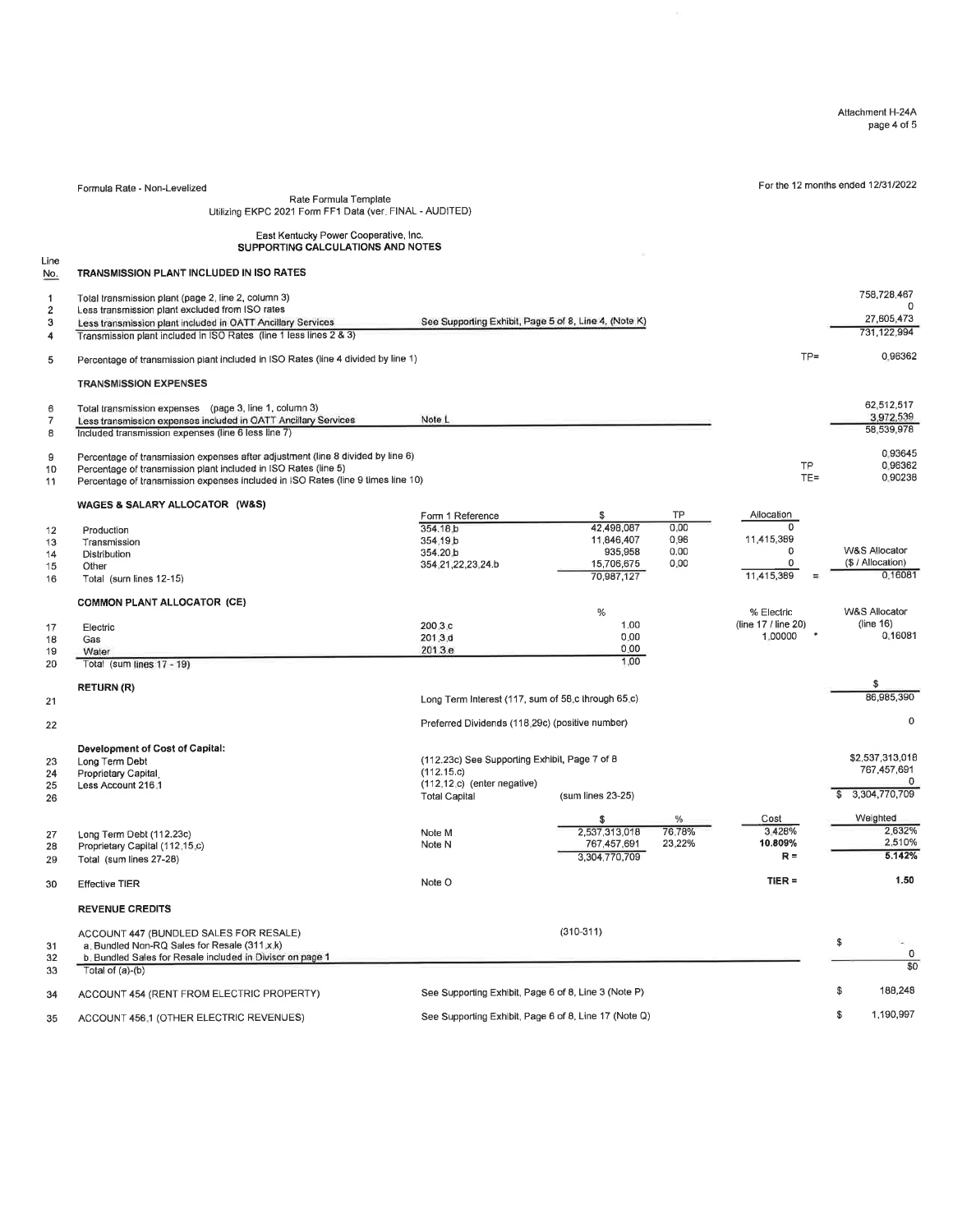Attachment H-244 page 4 of 5

For the 12 months ended 12/31/2022

Formula Raie - Non-Levelized Rate Formula Template Utilizing EKPC 2021 Form FFl Data (ver. FINAL - AUDITED)

### East Kentucky Power Cooperative, lnc. SUPPORTING CALCULATIONS AND NOTES

Line<br>No. TRANSMISSION PLANT INCLUDED IN ISO RATES

| 1              | Total transmission plant (page 2, line 2, column 3)                               |                                                       |                   |        |                     |    | 758,728,467       |
|----------------|-----------------------------------------------------------------------------------|-------------------------------------------------------|-------------------|--------|---------------------|----|-------------------|
| 2              | Less transmission plant excluded from ISO rates                                   |                                                       |                   |        |                     |    |                   |
| 3              | Less transmission plant included in OATT Ancillary Services                       | See Supporting Exhibit, Page 5 of 8, Line 4, (Note K) |                   |        |                     |    | 27,605,473        |
|                |                                                                                   |                                                       |                   |        |                     |    | 731,122,994       |
| 4              | Transmission plant included in ISO Rates (line 1 less lines 2 & 3)                |                                                       |                   |        |                     |    |                   |
| 5              | Percentage of transmission plant included in ISO Rates (line 4 divided by line 1) |                                                       |                   |        | $TP =$              |    | 0.96362           |
|                | <b>TRANSMISSION EXPENSES</b>                                                      |                                                       |                   |        |                     |    |                   |
|                |                                                                                   |                                                       |                   |        |                     |    |                   |
| 6              | Total transmission expenses (page 3, line 1, column 3)                            |                                                       |                   |        |                     |    | 62,512,517        |
| $\overline{7}$ | Less transmission expenses included in OATT Ancillary Services                    | Note L                                                |                   |        |                     |    | 3,972,539         |
| 8              | Included transmission expenses (line 6 less line 7)                               |                                                       |                   |        |                     |    | 58,539,978        |
|                |                                                                                   |                                                       |                   |        |                     |    |                   |
| 9              | Percentage of transmission expenses after adjustment (line 8 divided by line 6)   |                                                       |                   |        |                     |    | 0.93645           |
| 10             | Percentage of transmission plant included in ISO Rates (line 5)                   |                                                       |                   |        | TP                  |    | 0.96362           |
| 11             | Percentage of transmission expenses included in ISO Rates (line 9 times line 10)  |                                                       |                   |        | $TE =$              |    | 0.90238           |
|                |                                                                                   |                                                       |                   |        |                     |    |                   |
|                | WAGES & SALARY ALLOCATOR (W&S)                                                    |                                                       |                   |        |                     |    |                   |
|                |                                                                                   | Form 1 Reference                                      | \$                | TP     | Allocation          |    |                   |
| 12             | Production                                                                        | 354.18 <sub>b</sub>                                   | 42,498,087        | 0.00   | 0                   |    |                   |
| 13             | Transmission                                                                      | 354.19 b                                              | 11,846,407        | 0.96   | 11,415,389          |    |                   |
| 14             | Distribution                                                                      | 354.20 b                                              | 935,958           | 0.00   | $\mathbf 0$         |    | W&S Allocator     |
| 15             | Other                                                                             | 354.21,22,23,24.b                                     | 15,706,675        | 0.00   | 0                   |    | (\$ / Allocation) |
| 16             | Total (sum lines 12-15)                                                           |                                                       | 70,987,127        |        | 11,415,389          |    | 0.16081           |
|                |                                                                                   |                                                       |                   |        |                     |    |                   |
|                | <b>COMMON PLANT ALLOCATOR (CE)</b>                                                |                                                       |                   |        |                     |    |                   |
|                |                                                                                   |                                                       | $\%$              |        | % Electric          |    | W&S Allocator     |
|                |                                                                                   | 200.3.c                                               | 1.00              |        | (line 17 / line 20) |    | (line 16)         |
| 17             | Electric                                                                          | 201.3.d                                               | 0.00              |        | 1.00000             |    | 0.16081           |
| 18             | Gas                                                                               |                                                       | 0.00              |        |                     |    |                   |
| 19             | Water                                                                             | 201.3.e                                               |                   |        |                     |    |                   |
| 20             | Total (sum lines 17 - 19)                                                         |                                                       | 1.00              |        |                     |    |                   |
|                |                                                                                   |                                                       |                   |        |                     |    | \$                |
|                | <b>RETURN (R)</b>                                                                 |                                                       |                   |        |                     |    | 86,985,390        |
| 21             |                                                                                   | Long Term Interest (117, sum of 58.c through 65.c)    |                   |        |                     |    |                   |
|                |                                                                                   |                                                       |                   |        |                     |    | $\mathbf 0$       |
| 22             |                                                                                   | Preferred Dividends (118.29c) (positive number)       |                   |        |                     |    |                   |
|                |                                                                                   |                                                       |                   |        |                     |    |                   |
|                | Development of Cost of Capital:                                                   |                                                       |                   |        |                     |    |                   |
| 23             | Long Term Debt                                                                    | (112.23c) See Supporting Exhibit, Page 7 of 8         |                   |        |                     |    | \$2,537,313,018   |
| 24             | Proprietary Capital                                                               | (112.15.c)                                            |                   |        |                     |    | 767 457 691       |
| 25             | Less Account 216.1                                                                | (112.12.c) (enter negative)                           |                   |        |                     |    | $\circ$           |
| 26             |                                                                                   | <b>Total Capital</b>                                  | (sum lines 23-25) |        |                     |    | 3,304,770,709     |
|                |                                                                                   |                                                       |                   |        |                     |    |                   |
|                |                                                                                   |                                                       | \$                | %      | Cost                |    | Weighted          |
| 27             | Long Term Debt (112.23c)                                                          | Note M                                                | 2,537,313,018     | 76.78% | 3.428%              |    | 2.632%            |
| 28             | Proprietary Capital (112.15.c)                                                    | Note N                                                | 767,457,691       | 23.22% | 10.809%             |    | 2.510%            |
| 29             | Total (sum lines 27-28)                                                           |                                                       | 3,304,770,709     |        | $R =$               |    | 5.142%            |
|                |                                                                                   |                                                       |                   |        |                     |    |                   |
| 30             | <b>Effective TIER</b>                                                             | Note O                                                |                   |        | $TIER =$            |    | 1.50              |
|                | <b>REVENUE CREDITS</b>                                                            |                                                       |                   |        |                     |    |                   |
|                |                                                                                   |                                                       |                   |        |                     |    |                   |
|                | ACCOUNT 447 (BUNDLED SALES FOR RESALE)                                            |                                                       | $(310-311)$       |        |                     |    |                   |
| 31             | a. Bundled Non-RQ Sales for Resale (311 x k)                                      |                                                       |                   |        |                     | \$ |                   |
| 32             | b. Bundled Sales for Resale included in Divisor on page 1                         |                                                       |                   |        |                     |    | 0                 |
| 33             | Total of $(a)-(b)$                                                                |                                                       |                   |        |                     |    | $\overline{30}$   |
|                |                                                                                   |                                                       |                   |        |                     | \$ | 188,248           |
| 34             | ACCOUNT 454 (RENT FROM ELECTRIC PROPERTY)                                         | See Supporting Exhibit, Page 6 of 8, Line 3 (Note P)  |                   |        |                     |    |                   |
|                |                                                                                   |                                                       |                   |        |                     | \$ | 1,190,997         |
| 35             | ACCOUNT 456.1 (OTHER ELECTRIC REVENUES)                                           | See Supporting Exhibit, Page 6 of 8, Line 17 (Note Q) |                   |        |                     |    |                   |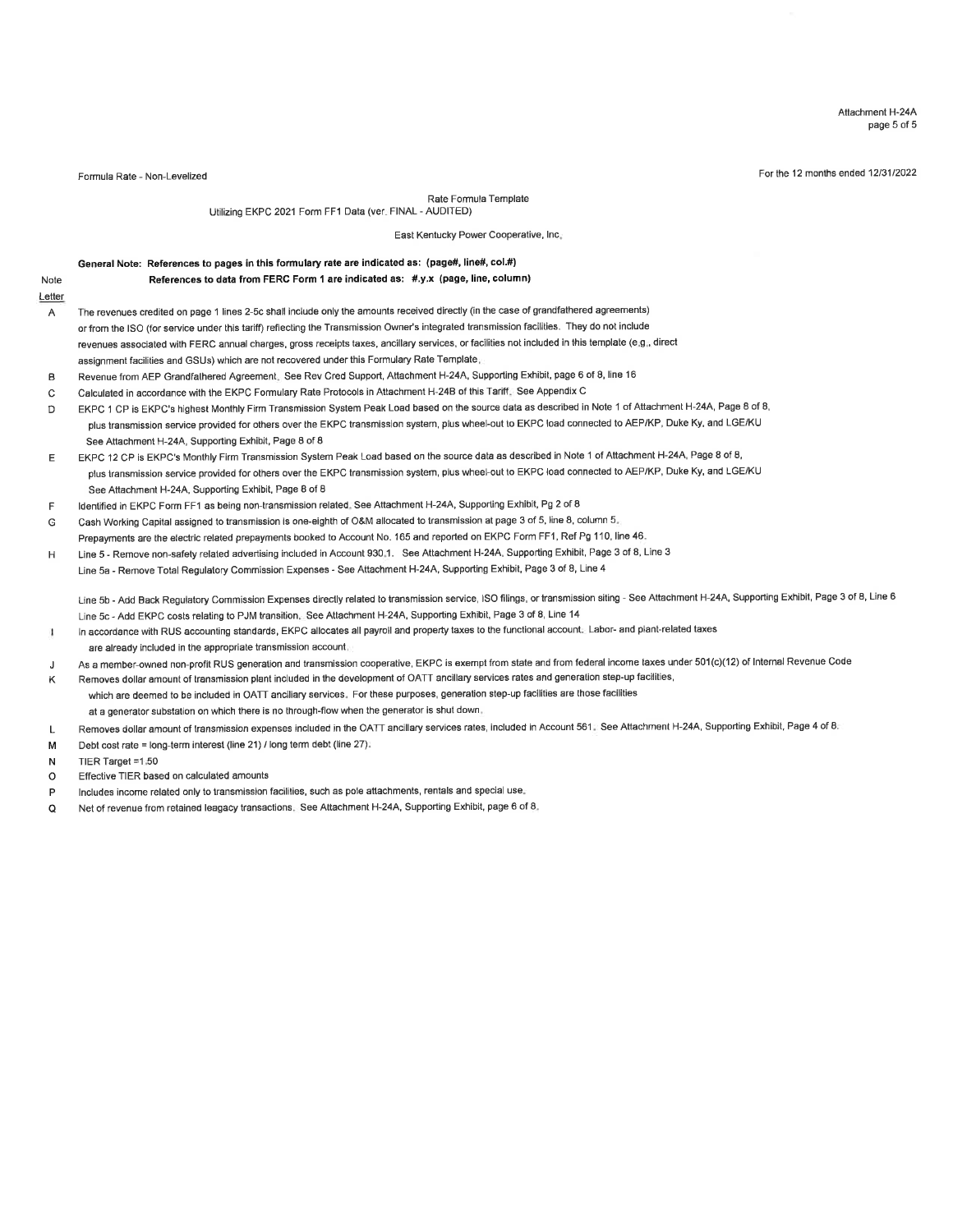Allachment H-24A page 5 of 5

Formula Rate - Non-Levelized For the 'l 2 months ended <sup>1213112022</sup>

Note

Rate Fomula Template

Utilizing EKPC 2021 Form FF1 Data (ver. FINAL - AUDITED)

East Kentucky Power Cooperative, lnc.

### General Note: References to pages in this formulary rate are indicated as: (page#, line#, col.#)

References to data from FERC Form 1 are indicated as: #.y.x (page, line, column)

- Letter The revenues credited on page 1 lines 2-5c shall include only the amounts received directly (in the case of grandfathered agreements) A or from the ISO (for service under this tariff) reflecting the Transmission Owner's integrated transmission facilities. They do not include revenues associated with FERc annual charges, gross receipts taxes, ancillary services, or facilities not included in this template (e.9., direct assignment facilities and GSUs) which are not recovered under this Formulary Rate Template
- B Revenue from AEP Grandfathered Agreement. See Rev Cred Support, Aftachment H-24A, Supporting Exhibit, page 6 of 8, line l 6
- Calculated in accordance with the EKPC Formulary Rate Protocols in Attachment H-248 of this Tariff. See Appendix C  $\mathcal{C}$
- $\mathbf{D}$ EKPC 1 CP is EKPC's highest Monthly Firm Transmission System Peak Load based on the source data as described in Note 1 of Attachment H-24A, Page 8 of 8, plus transmission service provided for others over the EKPC transmission system, plus wheel-out to EKPC load connected to AEP/KP, Duke Ky, and LGE/KU See Attachment H-24A, Supporting Exhibit, Page 8 of 8
- E EKPC 12 CP is EKPC's Monthly Firm Transmission System Peak Load based on the source data as described in Note 1 of Attachment H-24A, Page 8 of 8, plus transmission service provided for others over the EKPC transmission system, plus wheel-out to EKPC load connected to AEP/KP, Duke Ky, and LGE/KU See Attachment H-24A, Supporting Exhibit, Page 8 of 8
- F ldentified in EKPC Form FFI as being non-transmission related. See Attachment H-24A, Supporting Exhibit, Pg 2 of I
- Cash Working Capital assigned to transmission is one-eighth of O&M allocated to transmission at page 3 of 5, line 8, column 5. Ġ Prepayments are the electric related prepayments booked to Account No. 165 and reported on EKPC Form FF1, Ref Pg 110, line 46.
- H Line 5 - Remove non-safety related adveriising included in Account 930.1 . See Attachment H-24A, Supporting Exhibit, Page 3 of 8, Line <sup>3</sup>
- Line 5a Remove Total Regulatory Commission Expenses See Attachment H-24A, Supporting Exhibit, Page 3 of 8, Line 4

Line 5b - Add Back Regulatory Commission Expenses directly related to transmission service, ISO filings, or transmission siting - See Attachment H-24A, Supporting Exhibit, Page 3 of 8, Line 6 Line 5c - Add EKPC costs relating to PJM transition. See Attachment H-24A, Supporting Exhibit, Page 3 of 8, Line 14

- ln accordance with RUS accounting standards, EKPC allocates all payroll and property taxes to the functional account. Labor- and plant-related taxes Ĥ. are already included in the appropriate transmission account.
- As a member-owned non-profit RUS generation and transmission cooperative, EKPC is exempt from state and from federal income taxes under 501(c)(12) of Internal Revenue Code J
- Removes dollar amount of transmission plant included in the development of OATT ancillary services rates and generation step-up facilities, which are deemed to be included in OATT ancillary seruices. For these purposes, generation step-up facilities are those facilities at a generator substation on which there is no through-flow when the generator is shut down. K
- Removes dollar amount of transmission expenses included in the OATT ancillary services rates, included in Account 561. See Attachment H-24A, Supporting Exhibit, Page 4 of 8. L
- Debt cost rate = long-term interest (line 21) / long term debt (line 27). M
- TIER Target =1.50 N
- Effective TIER based on calculated amounts o
- lncludes income related only to lransmission facilities, such as pole attachments, rentals and special use. P
- Net of revenue from retained leagacy transactions. See Attachment H-24A, Supporting Exhibit, page 6 of 8. o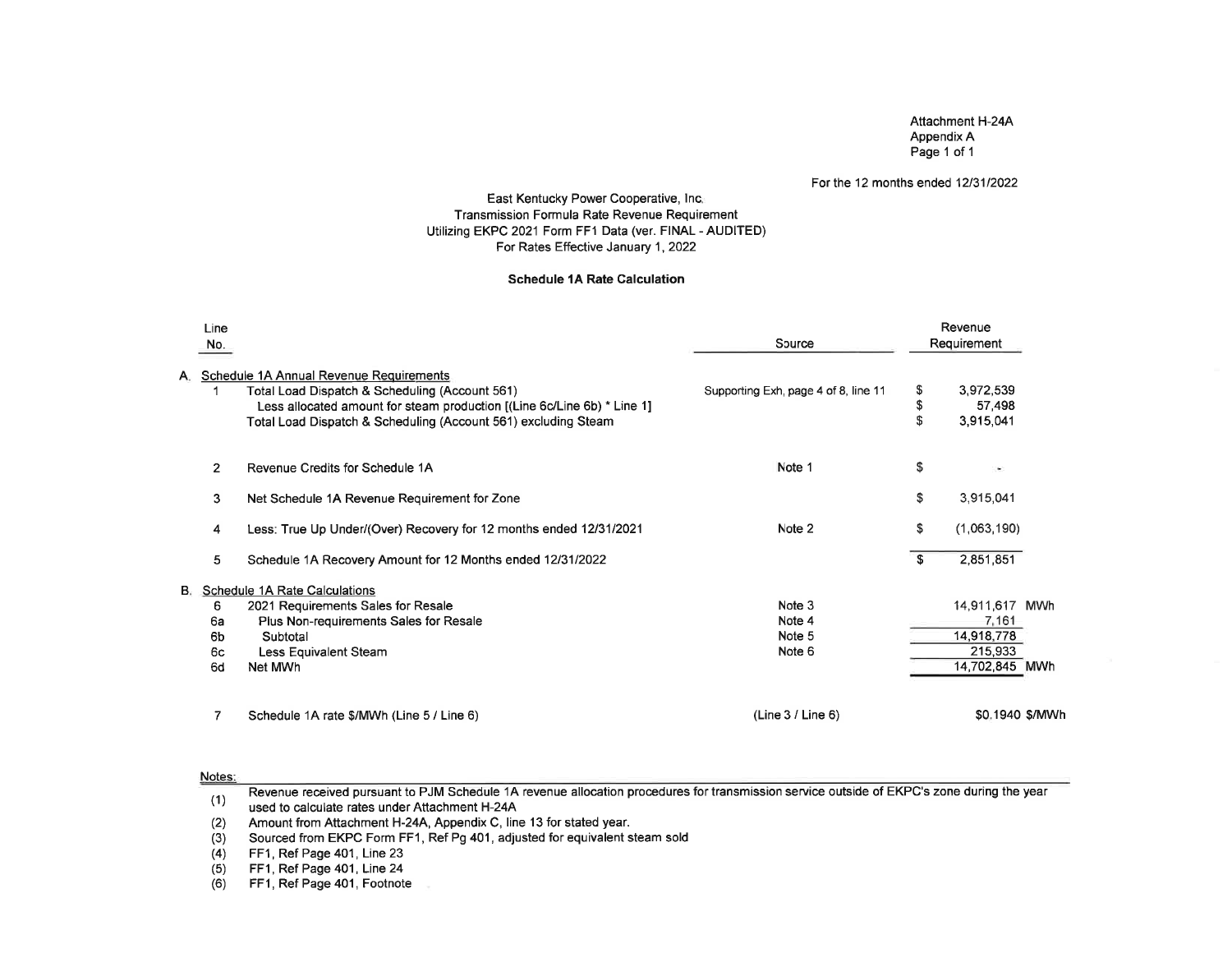### Attachment H-24AAppendix APage 1 of 1

#### For the 12 months ended 12/31/2022

### East Kentucky Power Cooperative, lnc.Transmission Formula Rate Revenue Requiremen Utilizing EKPC 2021 Form FF1 Data (ver. FINAL - AUDITED)For Rates Effective January 1, 2022

#### Schedule 1A Rate Galculation

|    | Line<br>No.    |                                                                                                                                                                                                                                        | Source                               |               | Revenue<br>Requirement           |
|----|----------------|----------------------------------------------------------------------------------------------------------------------------------------------------------------------------------------------------------------------------------------|--------------------------------------|---------------|----------------------------------|
| А. |                | Schedule 1A Annual Revenue Requirements<br>Total Load Dispatch & Scheduling (Account 561)<br>Less allocated amount for steam production ((Line 6c/Line 6b) * Line 1]<br>Total Load Dispatch & Scheduling (Account 561) excluding Steam | Supporting Exh, page 4 of 8, line 11 | S<br>\$<br>\$ | 3,972,539<br>57,498<br>3,915,041 |
|    | $\overline{2}$ | Revenue Credits for Schedule 1A                                                                                                                                                                                                        | Note 1                               | \$            | $\sim$                           |
|    | 3              | Net Schedule 1A Revenue Requirement for Zone                                                                                                                                                                                           |                                      | \$            | 3,915,041                        |
|    | 4              | Less: True Up Under/(Over) Recovery for 12 months ended 12/31/2021                                                                                                                                                                     | Note 2                               | \$            | (1,063,190)                      |
|    | 5              | Schedule 1A Recovery Amount for 12 Months ended 12/31/2022                                                                                                                                                                             |                                      | $\mathbf{s}$  | 2,851,851                        |
|    |                | <b>B.</b> Schedule 1A Rate Calculations                                                                                                                                                                                                |                                      |               |                                  |
|    | 6              | 2021 Requirements Sales for Resale                                                                                                                                                                                                     | Note 3                               |               | 14,911,617 MWh                   |
|    | 6a             | Plus Non-requirements Sales for Resale                                                                                                                                                                                                 | Note 4                               |               | 7,161                            |
|    | 6b             | Subtotal                                                                                                                                                                                                                               | Note 5                               |               | 14,918,778                       |
|    | 6с             | Less Equivalent Steam                                                                                                                                                                                                                  | Note 6                               |               | 215,933                          |
|    | 6d             | Net MWh                                                                                                                                                                                                                                |                                      |               | 14,702,845 MWh                   |
|    | 7              | Schedule 1A rate \$/MWh (Line 5 / Line 6)                                                                                                                                                                                              | (Line 3 / Line 6)                    |               | \$0.1940 \$/MW                   |

#### Notes:

Revenue received pursuant to PJM Schedule 1A revenue allocation procedures for transmission service outside of EKPC's zone during the yearused to calculate rates under Aftachment H-244(1)

 Amount from Attachment H-24A, Appendix C, line 13 for stated year. (2)

Sourced from EKPC Form FF1 , Ref Pg 401, adjusted for equivalent steam sold(3)

FF1, Ref Page 401, Line 23 $(4)$ 

 FF1, Ref Page 401, Line 24(5)

 FF1, Ref Page 401, Footnote(6)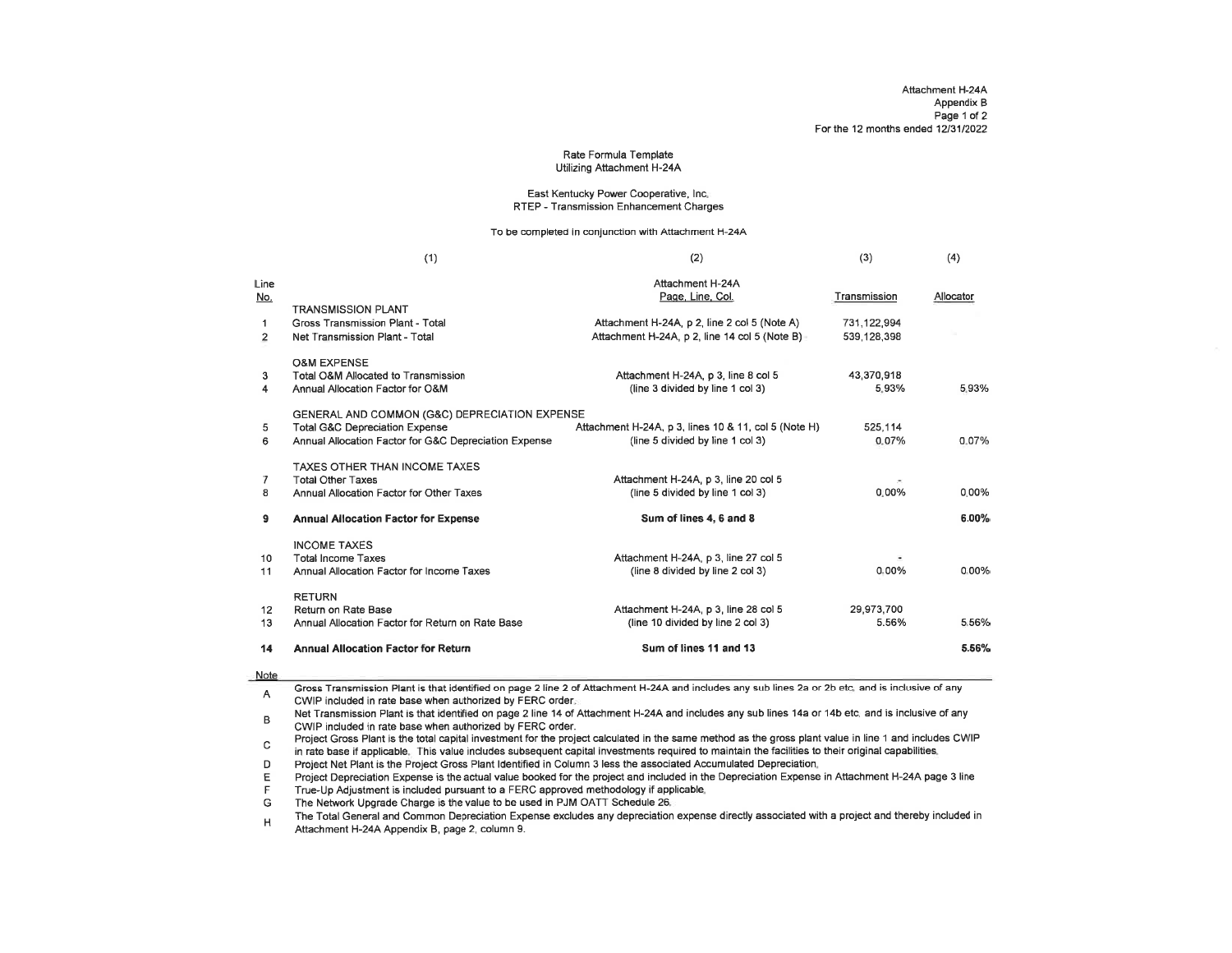#### Rate Formula TemplateUtilizing Attachment H-244

#### East Kentucky Power Cooperative, lnc.RTEP - Transmission Enhancement Charges

To be completed in conjunction with Attachment H-24A

| Attachment H-24A<br>Line<br>Page, Line, Col.<br>Transmission<br>No.<br><b>TRANSMISSION PLANT</b><br>Attachment H-24A, p 2, line 2 col 5 (Note A)<br>Gross Transmission Plant - Total<br>731,122,994<br>1<br>Attachment H-24A, p 2, line 14 col 5 (Note B)<br>539, 128, 398<br>$\overline{2}$<br>Net Transmission Plant - Total<br><b>O&amp;M EXPENSE</b><br>3<br>Total O&M Allocated to Transmission<br>Attachment H-24A, p 3, line 8 col 5<br>43,370,918<br>(line 3 divided by line 1 col 3)<br>5.93%<br>Annual Allocation Factor for O&M<br>4<br><b>GENERAL AND COMMON (G&amp;C) DEPRECIATION EXPENSE</b><br><b>Total G&amp;C Depreciation Expense</b><br>Attachment H-24A, p 3, lines 10 & 11, col 5 (Note H)<br>525.114<br>5<br>(line 5 divided by line 1 col 3)<br>Annual Allocation Factor for G&C Depreciation Expense<br>0.07%<br>6<br>TAXES OTHER THAN INCOME TAXES<br>Attachment H-24A, p 3, line 20 col 5<br><b>Total Other Taxes</b><br>7<br>$0.00\%$<br>(line 5 divided by line 1 col 3)<br>Annual Allocation Factor for Other Taxes<br>8<br>Sum of lines 4, 6 and 8<br>9<br><b>Annual Allocation Factor for Expense</b><br><b>INCOME TAXES</b><br>Attachment H-24A, p 3, line 27 col 5<br><b>Total Income Taxes</b><br>10<br>0.00%<br>(line 8 divided by line 2 col 3)<br>11<br>Annual Allocation Factor for Income Taxes<br><b>RETURN</b><br>Return on Rate Base<br>Attachment H-24A, p 3, line 28 col 5<br>29,973,700<br>12<br>5.56%<br>(line 10 divided by line 2 col 3)<br>Annual Allocation Factor for Return on Rate Base<br>13<br>Sum of lines 11 and 13<br><b>Annual Allocation Factor for Return</b><br>14 | (1) | (2) | (3) | (4)       |
|-----------------------------------------------------------------------------------------------------------------------------------------------------------------------------------------------------------------------------------------------------------------------------------------------------------------------------------------------------------------------------------------------------------------------------------------------------------------------------------------------------------------------------------------------------------------------------------------------------------------------------------------------------------------------------------------------------------------------------------------------------------------------------------------------------------------------------------------------------------------------------------------------------------------------------------------------------------------------------------------------------------------------------------------------------------------------------------------------------------------------------------------------------------------------------------------------------------------------------------------------------------------------------------------------------------------------------------------------------------------------------------------------------------------------------------------------------------------------------------------------------------------------------------------------------------------------------------------------------------------------------------|-----|-----|-----|-----------|
|                                                                                                                                                                                                                                                                                                                                                                                                                                                                                                                                                                                                                                                                                                                                                                                                                                                                                                                                                                                                                                                                                                                                                                                                                                                                                                                                                                                                                                                                                                                                                                                                                                   |     |     |     | Allocator |
|                                                                                                                                                                                                                                                                                                                                                                                                                                                                                                                                                                                                                                                                                                                                                                                                                                                                                                                                                                                                                                                                                                                                                                                                                                                                                                                                                                                                                                                                                                                                                                                                                                   |     |     |     | 5.93%     |
|                                                                                                                                                                                                                                                                                                                                                                                                                                                                                                                                                                                                                                                                                                                                                                                                                                                                                                                                                                                                                                                                                                                                                                                                                                                                                                                                                                                                                                                                                                                                                                                                                                   |     |     |     | 0.07%     |
|                                                                                                                                                                                                                                                                                                                                                                                                                                                                                                                                                                                                                                                                                                                                                                                                                                                                                                                                                                                                                                                                                                                                                                                                                                                                                                                                                                                                                                                                                                                                                                                                                                   |     |     |     | $0.00\%$  |
|                                                                                                                                                                                                                                                                                                                                                                                                                                                                                                                                                                                                                                                                                                                                                                                                                                                                                                                                                                                                                                                                                                                                                                                                                                                                                                                                                                                                                                                                                                                                                                                                                                   |     |     |     | 6.00%     |
|                                                                                                                                                                                                                                                                                                                                                                                                                                                                                                                                                                                                                                                                                                                                                                                                                                                                                                                                                                                                                                                                                                                                                                                                                                                                                                                                                                                                                                                                                                                                                                                                                                   |     |     |     | $0.00\%$  |
|                                                                                                                                                                                                                                                                                                                                                                                                                                                                                                                                                                                                                                                                                                                                                                                                                                                                                                                                                                                                                                                                                                                                                                                                                                                                                                                                                                                                                                                                                                                                                                                                                                   |     |     |     | 5.56%     |
|                                                                                                                                                                                                                                                                                                                                                                                                                                                                                                                                                                                                                                                                                                                                                                                                                                                                                                                                                                                                                                                                                                                                                                                                                                                                                                                                                                                                                                                                                                                                                                                                                                   |     |     |     | 5.56%     |

#### Note

Gross Transmission Plant is that identified on page 2 line 2 of Attachment H-24A and includes any sub lines 2a or 2b etc. and is inclusive of any $\mathsf{A}$ CWIP included in rate base when authorized by FERC order.

 Net Transmission Plant is that identified on page 2 line 14 of Attachment H-24A and includes any sub lines 14a or 14b etc. and is inclusive of anyCWIP included in rate base when authorized by FERC order.B

 Project Gross Plant is the total capital investment for the project calculated in the same method as the gross plant value in line 1 and includes CWIP $\mathsf{C}$ in rate base if applicable. This value includes subsequent capital investments required to maintain the facilities to their original capabilities.

Proiect Net Plant is the Project Gross Plant ldentified in Column 3 less the associated Accumulated Depreciation.D

 Project Depreciation Expense is the actual value booked for the project and included in the Depreciation Expense in Attachment H-24A page 3 lineE

True-Up Adjustment is included pursuant io a FERC approved methodology if applicable. F

The Network Upgrade Charge is the value to be used in PJM OATT Schedule 26. G

The Total General and Common Depreciation Expense excludes any depreciation expense directly associated with a project and thereby included inAttachment H-24A Appendix B, page 2, column 9.H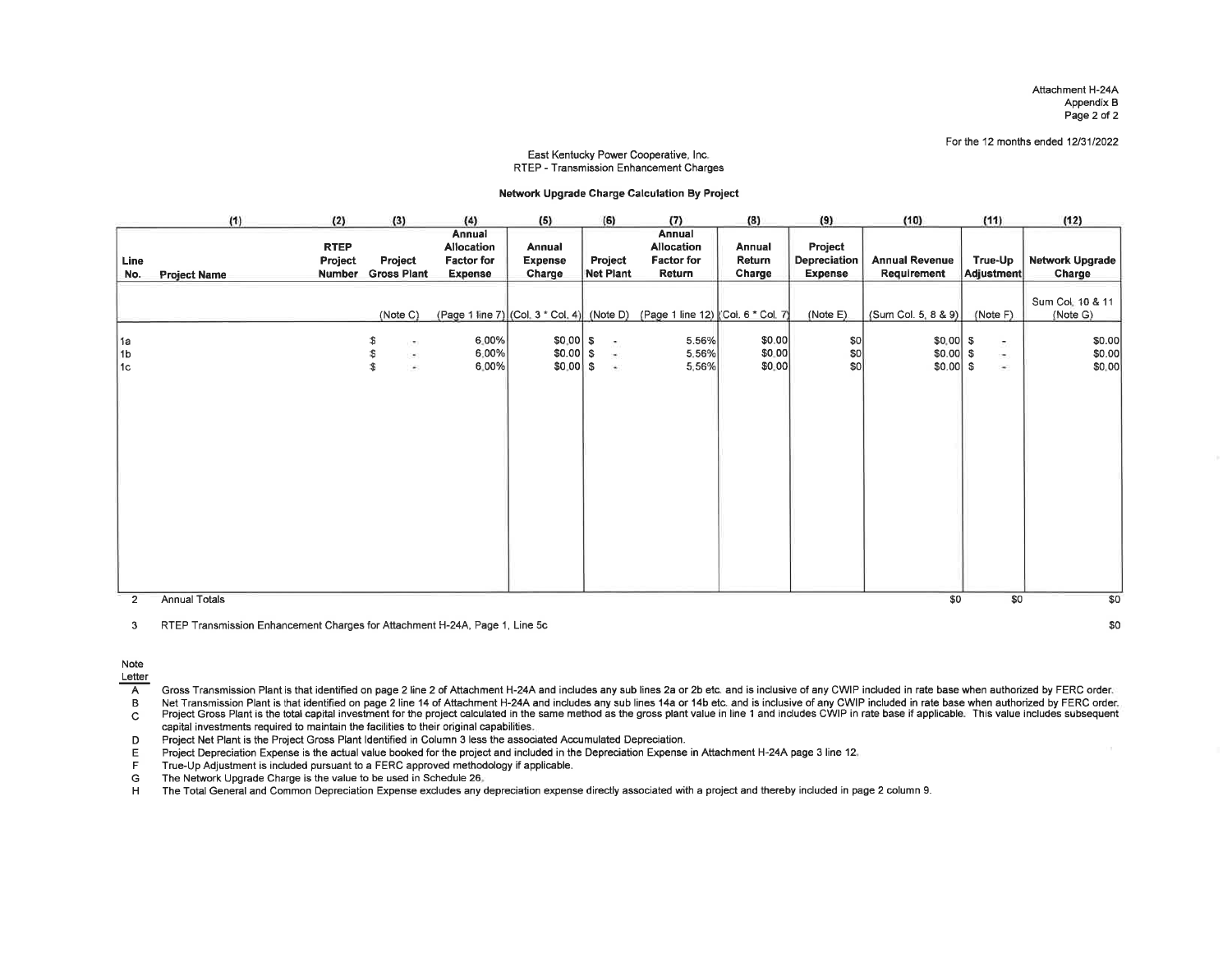Attachment H-24A Appendix BPage 2 of 2

For the 12 months ended 12/31/2022

#### East Kentucky Power Cooperative, lnc.RTEP - Transmission Enhancement Charges

#### Network Upgrade Charge Calculation By Project

|                 | (1)                 | (2)                                     | (3)                                                     | (4)                                                         | (5)                                     | (6)                                        | (7)                                                                           | (8)                        | (9)                                | (10)                                   | (11)                                       | (12)                         |
|-----------------|---------------------|-----------------------------------------|---------------------------------------------------------|-------------------------------------------------------------|-----------------------------------------|--------------------------------------------|-------------------------------------------------------------------------------|----------------------------|------------------------------------|----------------------------------------|--------------------------------------------|------------------------------|
| Line<br>No.     | <b>Project Name</b> | <b>RTEP</b><br>Project<br><b>Number</b> | Project<br><b>Gross Plant</b>                           | Annual<br>Allocation<br><b>Factor for</b><br><b>Expense</b> | Annual<br><b>Expense</b><br>Charge      | Project<br>Net Plant                       | Annual<br>Allocation<br><b>Factor for</b><br>Return                           | Annual<br>Return<br>Charge | Project<br>Depreciation<br>Expense | <b>Annual Revenue</b><br>Requirement   | True-Up<br>Adjustment                      | Network Upgrade<br>Charge    |
|                 |                     |                                         | (Note C)                                                |                                                             |                                         |                                            | (Page 1 line 7) (Col. 3 * Col. 4) (Note D) (Page 1 line 12) (Col. 6 * Col. 7) |                            | (Note E)                           | (Sum Col. 5, 8 & 9)                    | (Note F)                                   | Sum Col. 10 & 11<br>(Note G) |
| 1a<br>1b<br>∣1c |                     |                                         | \$<br>(W)<br>\$<br>38<br>\$<br>$\overline{\phantom{a}}$ | 6.00%<br>6,00%<br>$6.00\%$                                  | $$0.00 $ \$<br>$$0.00$ \$<br>$$0.00$ \$ | S.<br>$\mathcal{O}(\mathcal{C})$<br>$\sim$ | 5.56%<br>5,56%<br>5.56%                                                       | \$0.00<br>\$0.00<br>\$0.00 | 50 <br> 30 <br> SO                 | $$0,00$ \$<br>$$0.00$ \$<br>$$0.00$ \$ | $\overline{\mathcal{D}}_i$<br>æ.<br>$\sim$ | \$0.00<br>\$0.00<br>\$0,00   |
| $\overline{2}$  | Annual Totals       |                                         |                                                         |                                                             |                                         |                                            |                                                                               |                            |                                    | \$0                                    | \$0                                        | \$0                          |

3 RTEP Transmission Enhancement Charges for Attachment H-24A, Page 1, Line 5c

\$o

Note

Letter

 $\overline{A}$ Gross Transmission Plant is that identified on page 2 line 2 of Attachment H-24A and includes any sub lines 2a or 2b etc. and is inclusive of any CWIP included in rate base when authorized by FERC order.

 $\, {\bf B} \,$ 

Net Transmission Plant is that identified on page 2 line 14 of Attachment H-24A and includes any sub lines 14a or 14b etc. and is inclusive of any CWIP included in rate base when authorized by FERC order.<br>Project Gross Pla  $\mathsf C$ capital investments required to maintain the facilities to their original capabilities.

D Project Net Plant is the Project Gross Plant ldentified in Column 3 less the associated Accumulated Depreciation.

E Project Depreciation Expense is the actual value booked for the project and included in the Depreciation Expense in Attachment H-24A page 3 line 12.<br>F True-Up Adjustment is included pursuant to a FERC approved methodolog

The Network Upgrade Charge is the value to be used in Schedule 26.

H The Total General and Common Depreciation Expense excludes any depreciation expense directly associated with a project and thereby included in page 2 column 9.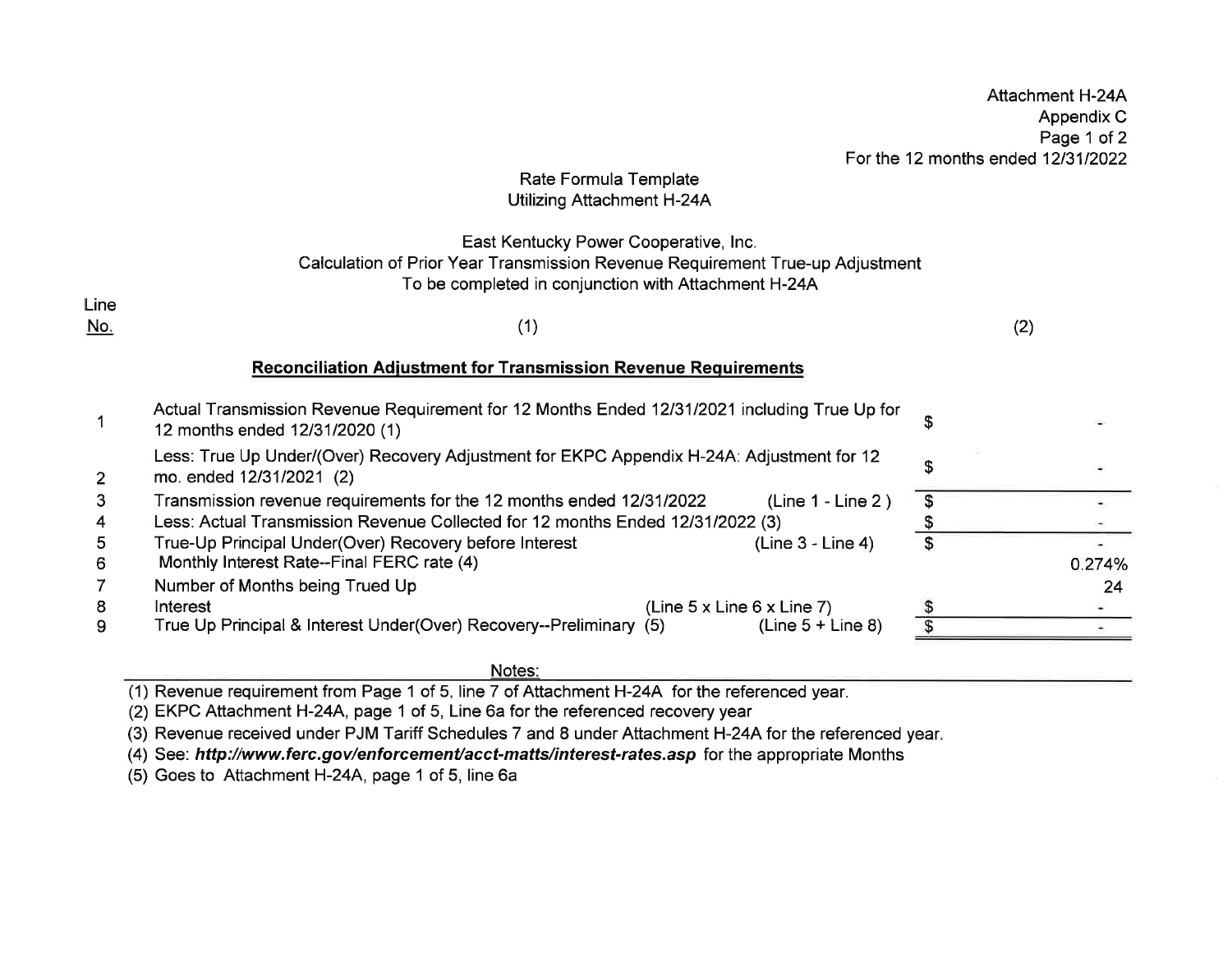|            |                                                                                                                                                                                | For the 12 months ended 12/31/2022 | Appendix C<br>Page 1 of 2 |
|------------|--------------------------------------------------------------------------------------------------------------------------------------------------------------------------------|------------------------------------|---------------------------|
|            | Rate Formula Template<br>Utilizing Attachment H-24A                                                                                                                            |                                    |                           |
| Line       | East Kentucky Power Cooperative, Inc.<br>Calculation of Prior Year Transmission Revenue Requirement True-up Adjustment<br>To be completed in conjunction with Attachment H-24A |                                    |                           |
| <u>No.</u> | (1)                                                                                                                                                                            | (2)                                |                           |
|            | <b>Reconciliation Adjustment for Transmission Revenue Requirements</b>                                                                                                         |                                    |                           |
|            | Actual Transmission Revenue Requirement for 12 Months Ended 12/31/2021 including True Up for<br>12 months ended 12/31/2020 (1)                                                 | \$                                 |                           |
| 2          | Less: True Up Under/(Over) Recovery Adjustment for EKPC Appendix H-24A: Adjustment for 12<br>mo. ended 12/31/2021 (2)                                                          | \$                                 |                           |
| 3<br>4     | Transmission revenue requirements for the 12 months ended 12/31/2022<br>$(Line 1 - Line 2)$<br>Less: Actual Transmission Revenue Collected for 12 months Ended 12/31/2022 (3)  | $\boldsymbol{\theta}$              |                           |
| 5<br>6     | True-Up Principal Under(Over) Recovery before Interest<br>(Line 3 - Line 4)<br>Monthly Interest Rate--Final FERC rate (4)                                                      | \$                                 | 0.274%                    |
| 8          | Number of Months being Trued Up<br>Interest<br>(Line $5 \times$ Line $6 \times$ Line $7$ )                                                                                     |                                    | 24                        |
| 9          | True Up Principal & Interest Under(Over) Recovery--Preliminary (5)<br>(Line $5 +$ Line 8)                                                                                      |                                    |                           |

Attachment H-24A

Notes:

(1) Revenue requirement from Page 1 of 5, line 7 of Attachment H-24A for the referenced year.

(2) EKPC Attachment H-24A, page 1 of 5, Line 6a for the referenced recovery year

(3) Revenue received under PJM Tariff Schedules 7 and 8 under Attachment H-24A for the referenced year

(4) See: http://www.ferc.gov/enforcement/acct-matts/interest-rates.asp for the appropriate Months

(5) Goes to Attachment H-24A, page 1 of 5, line 6a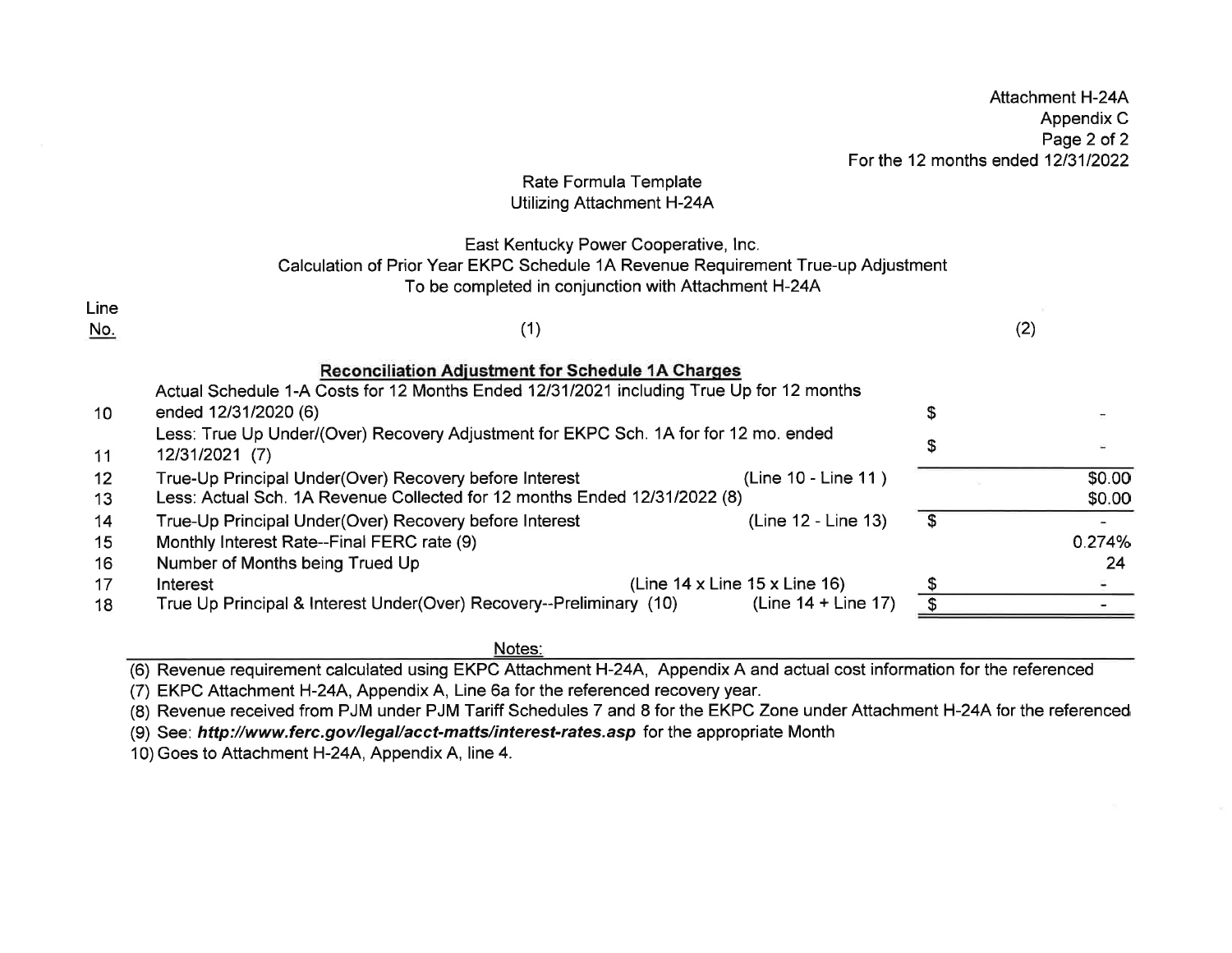|            |                                                                                              | Allachment H-24A                   |
|------------|----------------------------------------------------------------------------------------------|------------------------------------|
|            |                                                                                              | Appendix C                         |
|            |                                                                                              | Page 2 of 2                        |
|            |                                                                                              |                                    |
|            |                                                                                              | For the 12 months ended 12/31/2022 |
|            | Rate Formula Template                                                                        |                                    |
|            | Utilizing Attachment H-24A                                                                   |                                    |
|            | East Kentucky Power Cooperative, Inc.                                                        |                                    |
|            | Calculation of Prior Year EKPC Schedule 1A Revenue Requirement True-up Adjustment            |                                    |
|            | To be completed in conjunction with Attachment H-24A                                         |                                    |
|            |                                                                                              |                                    |
| Line       |                                                                                              |                                    |
| <u>No.</u> | (1)                                                                                          | (2)                                |
|            |                                                                                              |                                    |
|            | <b>Reconciliation Adjustment for Schedule 1A Charges</b>                                     |                                    |
|            | Actual Schedule 1-A Costs for 12 Months Ended 12/31/2021 including True Up for 12 months     |                                    |
|            |                                                                                              |                                    |
| 10         | ended 12/31/2020 (6)                                                                         | \$                                 |
|            | Less: True Up Under/(Over) Recovery Adjustment for EKPC Sch. 1A for for 12 mo. ended         | \$                                 |
| 11         | 12/31/2021 (7)                                                                               |                                    |
| 12         | (Line 10 - Line 11)<br>True-Up Principal Under(Over) Recovery before Interest                | \$0.00                             |
| 13         | Less: Actual Sch. 1A Revenue Collected for 12 months Ended 12/31/2022 (8)                    | \$0.00                             |
|            |                                                                                              |                                    |
| 14         | (Line 12 - Line 13)<br>True-Up Principal Under(Over) Recovery before Interest                | \$                                 |
| 15         | Monthly Interest Rate--Final FERC rate (9)                                                   | 0.274%                             |
| 16         | Number of Months being Trued Up                                                              | 24                                 |
| 17         | (Line $14 \times$ Line $15 \times$ Line $16$ )<br>Interest                                   |                                    |
| 18         | True Up Principal & Interest Under(Over) Recovery--Preliminary (10)<br>(Line $14 +$ Line 17) |                                    |
|            |                                                                                              |                                    |

AttachmenlH-24A

Notes:

(6) Revenue requirement calculated using EKPC Attachment H-24A, Appendix A and actual cost information for the referenced

(7) EKPC Attachment H-24A, Appendix A, Line 6a for the referenced recovery year.

(8) Revenue received from PJM under PJM Tariff Schedules 7 and 8 for the EKPC Zone under Attachment H-24A for the referenced

(9) See: http://www.ferc.gov/legal/acct-matts/interest-rates.asp for the appropriate Month

10) Goes to Attachment H-24A, Appendix A, line 4.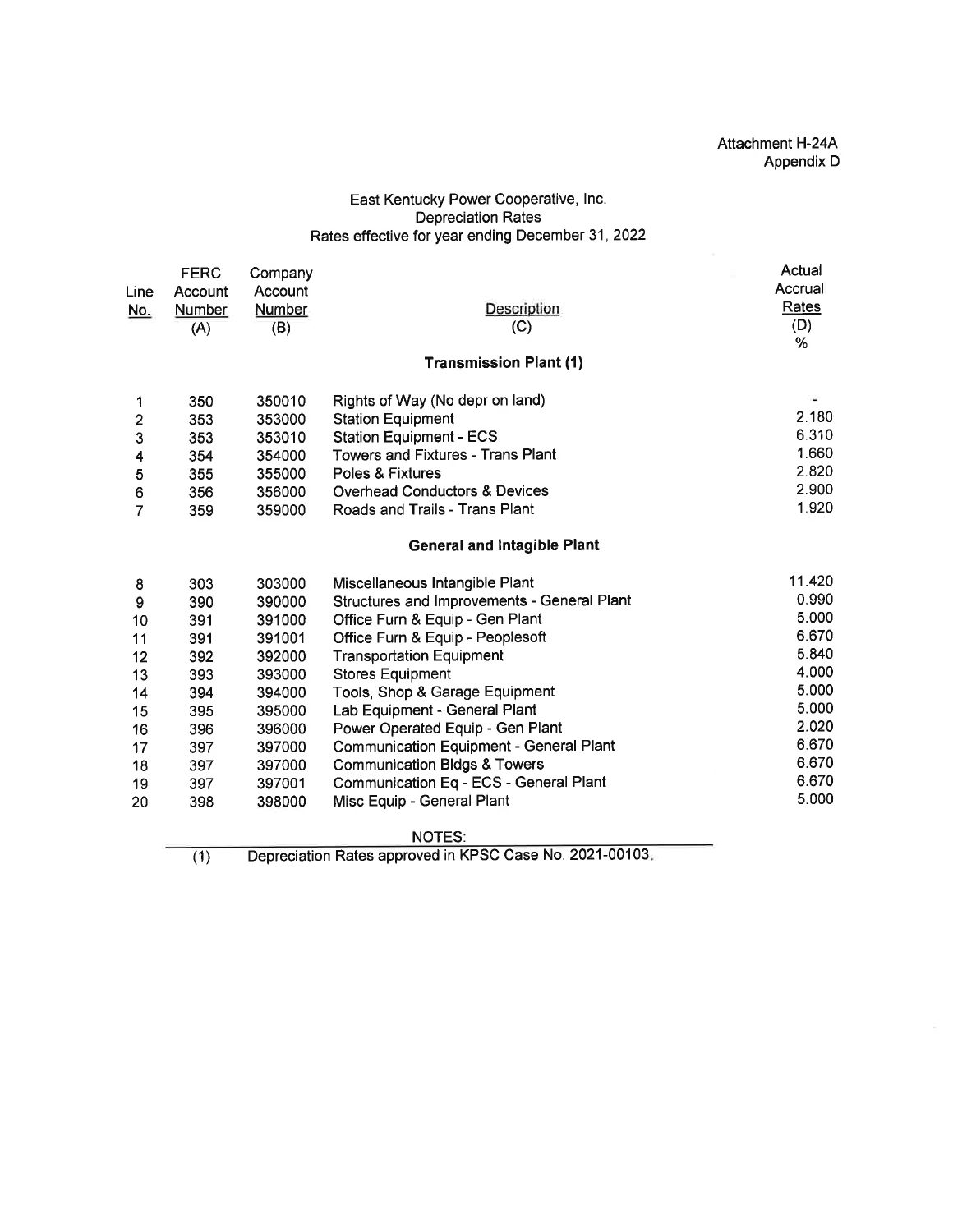### East Kentucky Power Cooperative, lnc. Depreciation Rates Rates effective for year ending December 31,2022

|                                                                 | <b>FERC</b> | Company |                                                | Actual  |  |  |  |  |  |
|-----------------------------------------------------------------|-------------|---------|------------------------------------------------|---------|--|--|--|--|--|
| Line                                                            | Account     | Account |                                                | Accrual |  |  |  |  |  |
| <u>No.</u>                                                      | Number      | Number  | Description                                    | Rates   |  |  |  |  |  |
|                                                                 | (A)         | (B)     | (C)                                            | (D)     |  |  |  |  |  |
|                                                                 |             |         |                                                | %       |  |  |  |  |  |
|                                                                 |             |         | <b>Transmission Plant (1)</b>                  |         |  |  |  |  |  |
| 1                                                               | 350         | 350010  | Rights of Way (No depr on land)                | ٠       |  |  |  |  |  |
| $\overline{\mathbf{c}}$                                         | 353         | 353000  | <b>Station Equipment</b>                       | 2.180   |  |  |  |  |  |
| 3                                                               | 353         | 353010  | <b>Station Equipment - ECS</b>                 | 6.310   |  |  |  |  |  |
| 4                                                               | 354         | 354000  | <b>Towers and Fixtures - Trans Plant</b>       | 1.660   |  |  |  |  |  |
| 5                                                               | 355         | 355000  | Poles & Fixtures                               | 2.820   |  |  |  |  |  |
| 6                                                               | 356         | 356000  | <b>Overhead Conductors &amp; Devices</b>       | 2.900   |  |  |  |  |  |
| 7                                                               | 359         | 359000  | Roads and Trails - Trans Plant                 | 1.920   |  |  |  |  |  |
|                                                                 |             |         | <b>General and Intagible Plant</b>             |         |  |  |  |  |  |
| 8                                                               | 303         | 303000  | Miscellaneous Intangible Plant                 | 11.420  |  |  |  |  |  |
| 9                                                               | 390         | 390000  | Structures and Improvements - General Plant    | 0.990   |  |  |  |  |  |
| 10                                                              | 391         | 391000  | Office Furn & Equip - Gen Plant                | 5.000   |  |  |  |  |  |
| 11                                                              | 391         | 391001  | Office Furn & Equip - Peoplesoft               | 6.670   |  |  |  |  |  |
| 12                                                              | 392         | 392000  | <b>Transportation Equipment</b>                | 5.840   |  |  |  |  |  |
| 13                                                              | 393         | 393000  | <b>Stores Equipment</b>                        | 4.000   |  |  |  |  |  |
| 14                                                              | 394         | 394000  | Tools, Shop & Garage Equipment                 | 5.000   |  |  |  |  |  |
| 15                                                              | 395         | 395000  | Lab Equipment - General Plant                  | 5.000   |  |  |  |  |  |
| 16                                                              | 396         | 396000  | Power Operated Equip - Gen Plant               | 2.020   |  |  |  |  |  |
| 17                                                              | 397         | 397000  | <b>Communication Equipment - General Plant</b> | 6.670   |  |  |  |  |  |
| 18                                                              | 397         | 397000  | <b>Communication Bldgs &amp; Towers</b>        | 6.670   |  |  |  |  |  |
| 19                                                              | 397         | 397001  | Communication Eq - ECS - General Plant         | 6.670   |  |  |  |  |  |
| 20                                                              | 398         | 398000  | Misc Equip - General Plant                     | 5.000   |  |  |  |  |  |
|                                                                 |             |         | <b>NOTES:</b>                                  |         |  |  |  |  |  |
| Depreciation Rates approved in KPSC Case No. 2021-00103.<br>(1) |             |         |                                                |         |  |  |  |  |  |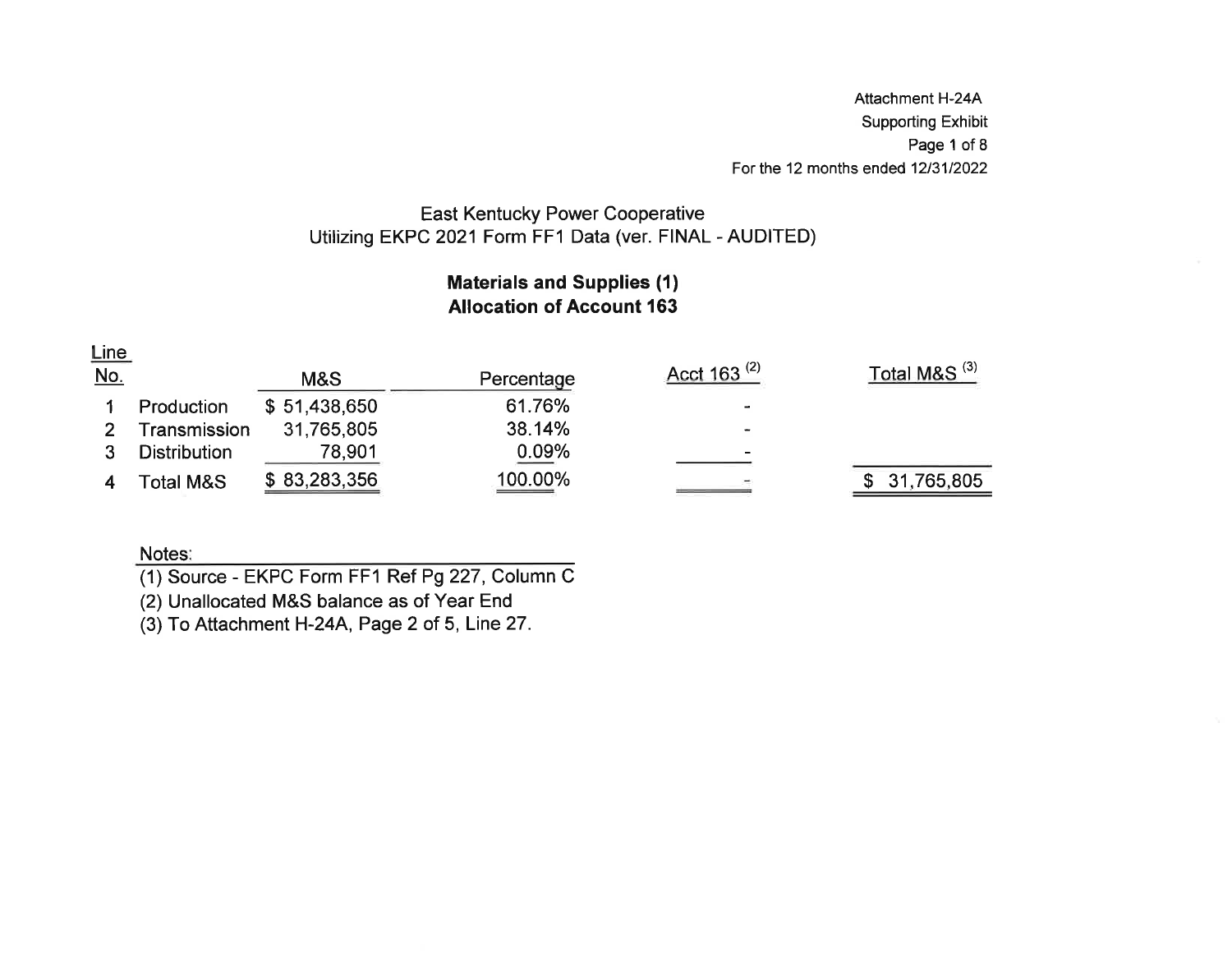Attachment H-244 Supporting ExhibitPage 1 of 8 For the 12 months ended 12/31/2022

## East Kentucky Power CooperativeUtilizing EKPC 2021 Form FF1 Data (ver. FINAL - AUDITED)

### Materials and Supplies (1)Allocation of Account 163

| Line       |                      |              |            |                          |                          |
|------------|----------------------|--------------|------------|--------------------------|--------------------------|
| <u>No.</u> |                      | M&S          | Percentage | Acct 163 <sup>(2)</sup>  | Total M&S <sup>(3)</sup> |
|            | Production           | \$51,438,650 | 61.76%     | ٠                        |                          |
|            | Transmission         | 31,765,805   | 38.14%     |                          |                          |
|            | Distribution         | 78,901       | 0.09%      | $\overline{\phantom{0}}$ |                          |
|            | <b>Fotal M&amp;S</b> | \$83,283,356 | 100.00%    |                          | 31,765,805               |

### Notes:

(1) Source - EKPC Form FF1 Ref P9227, Column <sup>C</sup>

(2) Unallocated M&S balance as of Year End

(3) To Attachment H-24A, Page 2 of 5, Line27.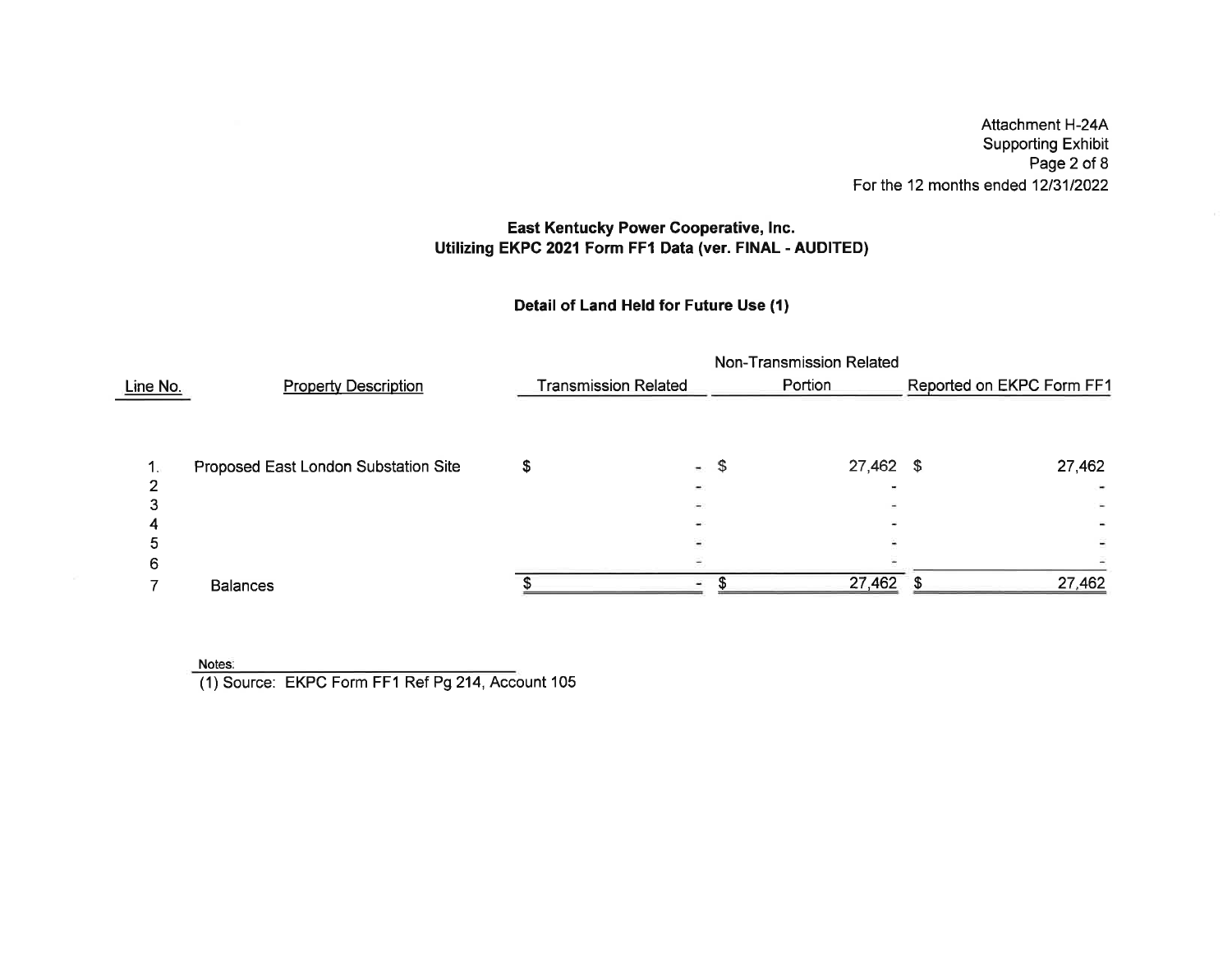Attachment H-244 Supporting Exhibit Page 2 of 8For the 12 months ended 1213112022

### East Kentucky Power Cooperative, Inc. Utilizing EKPC 2021 Form FF1 Data (ver. FINAL - AUDITED)

### Detail of Land Held for Future Use (1)

|                 |                                      |                             |        | Non-Transmission Related |                           |
|-----------------|--------------------------------------|-----------------------------|--------|--------------------------|---------------------------|
| <u>Line No.</u> | <b>Property Description</b>          | <b>Transmission Related</b> |        | Portion                  | Reported on EKPC Form FF1 |
|                 |                                      |                             |        |                          |                           |
|                 | Proposed East London Substation Site |                             | and in | \$<br>$27,462$ \$        | 27,462                    |
|                 |                                      |                             |        |                          |                           |
|                 |                                      |                             |        |                          |                           |
|                 |                                      |                             |        |                          |                           |
|                 |                                      |                             |        |                          |                           |
|                 |                                      |                             |        |                          |                           |
|                 | <b>Balances</b>                      |                             |        | 27,462                   | 27,462                    |
|                 |                                      |                             |        |                          |                           |

Notes

(1) Source: EKPC Form FF1 Ref Pg 214, Account 105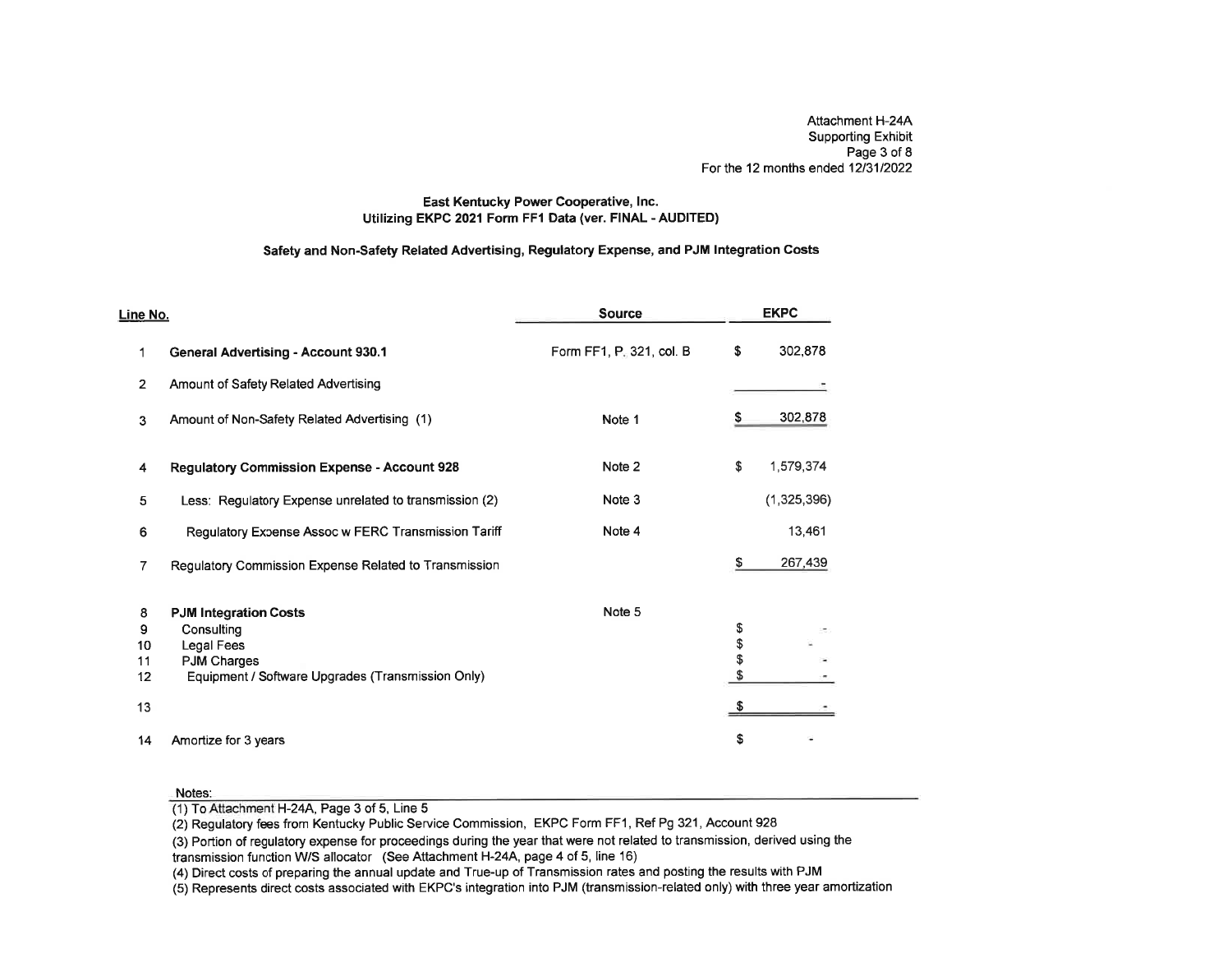Attachment H-24A Supporting Exhibit Page 3 of 8For the 12 months ended 12/31/202:

### East Kentucky Power Cooperative, lnc.Utilizing EKPC 2021 Form FFI Data (ver. FINAL - AUDITED)

### Safety and Non-Safety Related Advertising, Regulatory Expense, and PJM lntegration Costs

| Line No.       |                                                        | <b>Source</b>            |          | <b>EKPC</b> |
|----------------|--------------------------------------------------------|--------------------------|----------|-------------|
| 1              | <b>General Advertising - Account 930.1</b>             | Form FF1, P. 321, col. B | \$       | 302,878     |
| $\overline{2}$ | Amount of Safety Related Advertising                   |                          |          |             |
| 3              | Amount of Non-Safety Related Advertising (1)           | Note 1                   | \$       | 302,878     |
| 4              | <b>Regulatory Commission Expense - Account 928</b>     | Note 2                   | \$       | 1,579,374   |
| 5              | Less: Regulatory Expense unrelated to transmission (2) | Note 3                   |          | (1,325,396) |
| 6              | Regulatory Expense Assoc w FERC Transmission Tariff    | Note 4                   |          | 13,461      |
| 7              | Regulatory Commission Expense Related to Transmission  |                          | \$       | 267,439     |
| 8              | <b>PJM Integration Costs</b>                           | Note 5                   |          |             |
| 9              | Consulting                                             |                          | \$       |             |
| 10             | Legal Fees                                             |                          | \$<br>\$ |             |
| 11             | <b>PJM Charges</b>                                     |                          |          |             |
| 12             | Equipment / Software Upgrades (Transmission Only)      |                          | \$       |             |
| 13             |                                                        |                          | \$       |             |
| 14             | Amortize for 3 years                                   |                          | \$       |             |

#### Notes:

(1) To Attachment H-24A, Page 3 of 5, Line 5

(2) Regulatory fees from Kentucky Public Service Commission, EKPC Form FF1 , Ref Pg 321 , Account 928

 (3) Portion of regulatory expense for proceedings during the year that were not related to transmission, derived using thetransmission function WS allocator (See Attachment H-24A, page 4 of 5, Iine 16)

(4) Direct costs of preparing the annual update and True-up of Transmission rates and posting the results with PJM

(5) Represents direct costs associated with EKPC's integration into PJM (transmission-related only) with three year amortization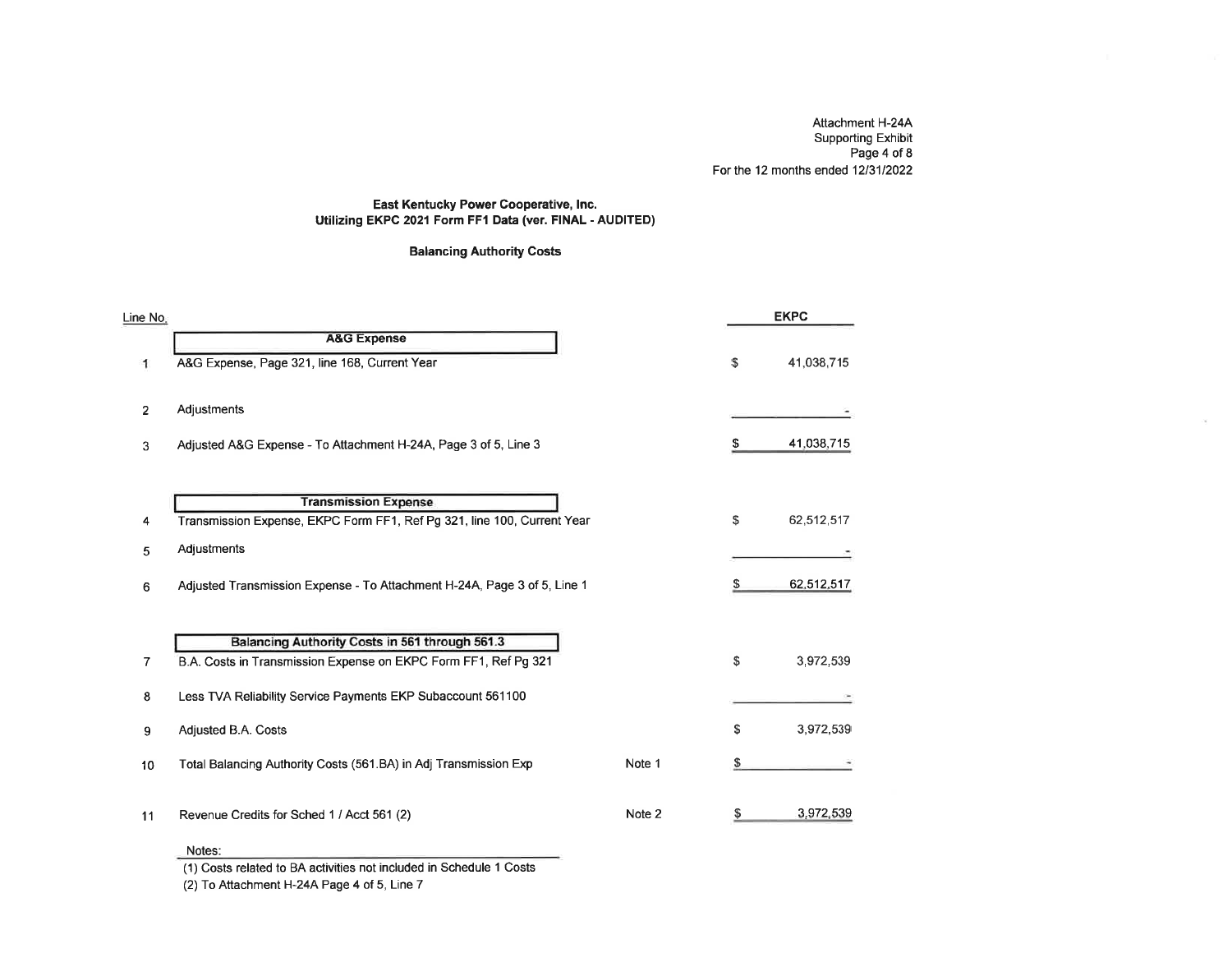Attachment H-24A Supporting Exhibit Page 4 of 8For the 12 months ended 12/31/2022

 $\sim$ 

### East Kentucky Power Cooperative, lnc.Utilizing EKPC 2021 Form FF1 Data (ver. FINAL - AUDITED)

### Balancing Authority Costs

| Line No.       |                                                                          |        |    | <b>EKPC</b> |
|----------------|--------------------------------------------------------------------------|--------|----|-------------|
|                | <b>A&amp;G Expense</b>                                                   |        |    |             |
| 1              | A&G Expense, Page 321, line 168, Current Year                            |        | \$ | 41,038,715  |
| $\overline{2}$ | Adjustments                                                              |        |    |             |
| 3              | Adjusted A&G Expense - To Attachment H-24A, Page 3 of 5, Line 3          |        | \$ | 41,038,715  |
|                | <b>Transmission Expense</b>                                              |        |    |             |
| 4              | Transmission Expense, EKPC Form FF1, Ref Pg 321, line 100, Current Year  |        | \$ | 62,512,517  |
| 5              | Adjustments                                                              |        |    |             |
| 6              | Adjusted Transmission Expense - To Attachment H-24A, Page 3 of 5, Line 1 |        |    | 62,512,517  |
|                |                                                                          |        |    |             |
|                | Balancing Authority Costs in 561 through 561.3                           |        |    |             |
| $\overline{7}$ | B.A. Costs in Transmission Expense on EKPC Form FF1, Ref Pg 321          |        | \$ | 3,972,539   |
| 8              | Less TVA Reliability Service Payments EKP Subaccount 561100              |        |    |             |
| 9              | Adjusted B.A. Costs                                                      |        | S  | 3,972,539   |
| 10             | Total Balancing Authority Costs (561.BA) in Adj Transmission Exp         | Note 1 | S  |             |
| 11             | Revenue Credits for Sched 1 / Acct 561 (2)                               | Note 2 | S  | 3,972,539   |

#### Notes:

(1) Costs related to BA activities not included in Schedule 1 Costs

(2) To Attachment H-24A Page 4 of 5, Line 7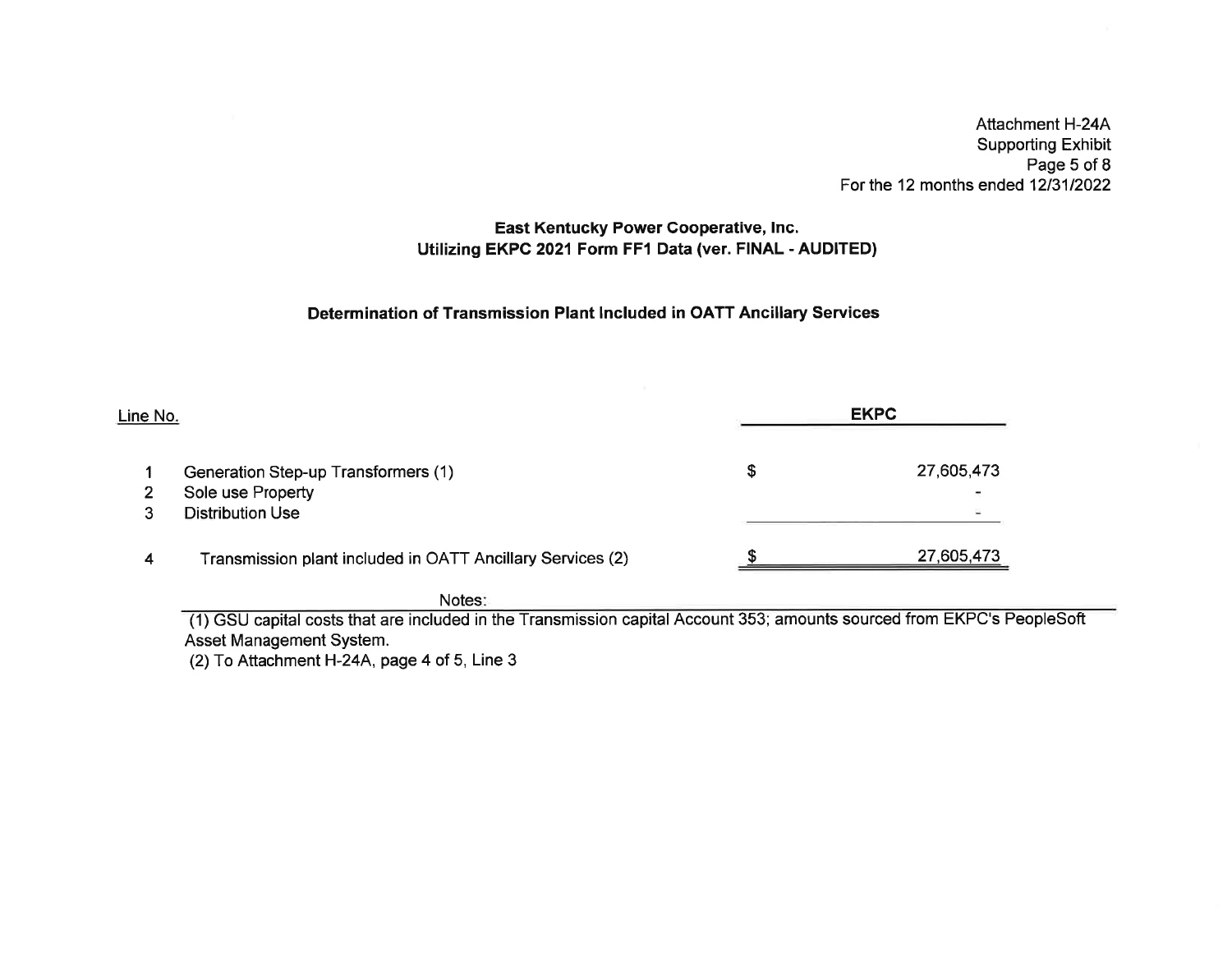Attachment H-244 Supporting Exhibit Page 5 of 8For the 12 months ended 1213112022

### East Kentucky Power Gooperative, Inc.Utilizing EKPC 2021 Form FF1 Data (ver. FINAL - AUDITED)

### Determination of Transmission Plant lncluded in OATT Ancillary Services

| Line No. |                                                            | <b>EKPC</b> |            |  |
|----------|------------------------------------------------------------|-------------|------------|--|
|          | Generation Step-up Transformers (1)                        |             | 27,605,473 |  |
| 2        | Sole use Property                                          |             |            |  |
|          | <b>Distribution Use</b>                                    |             |            |  |
| 4        | Transmission plant included in OATT Ancillary Services (2) |             | 27,605,473 |  |

Notes:

(1) GSU capital costs that are included in the Transmission capital Account 353; amounts sourced from EKPC's PeopleSoft Asset Management System.

(2) To Attachment H-24A, page 4 of 5, Line 3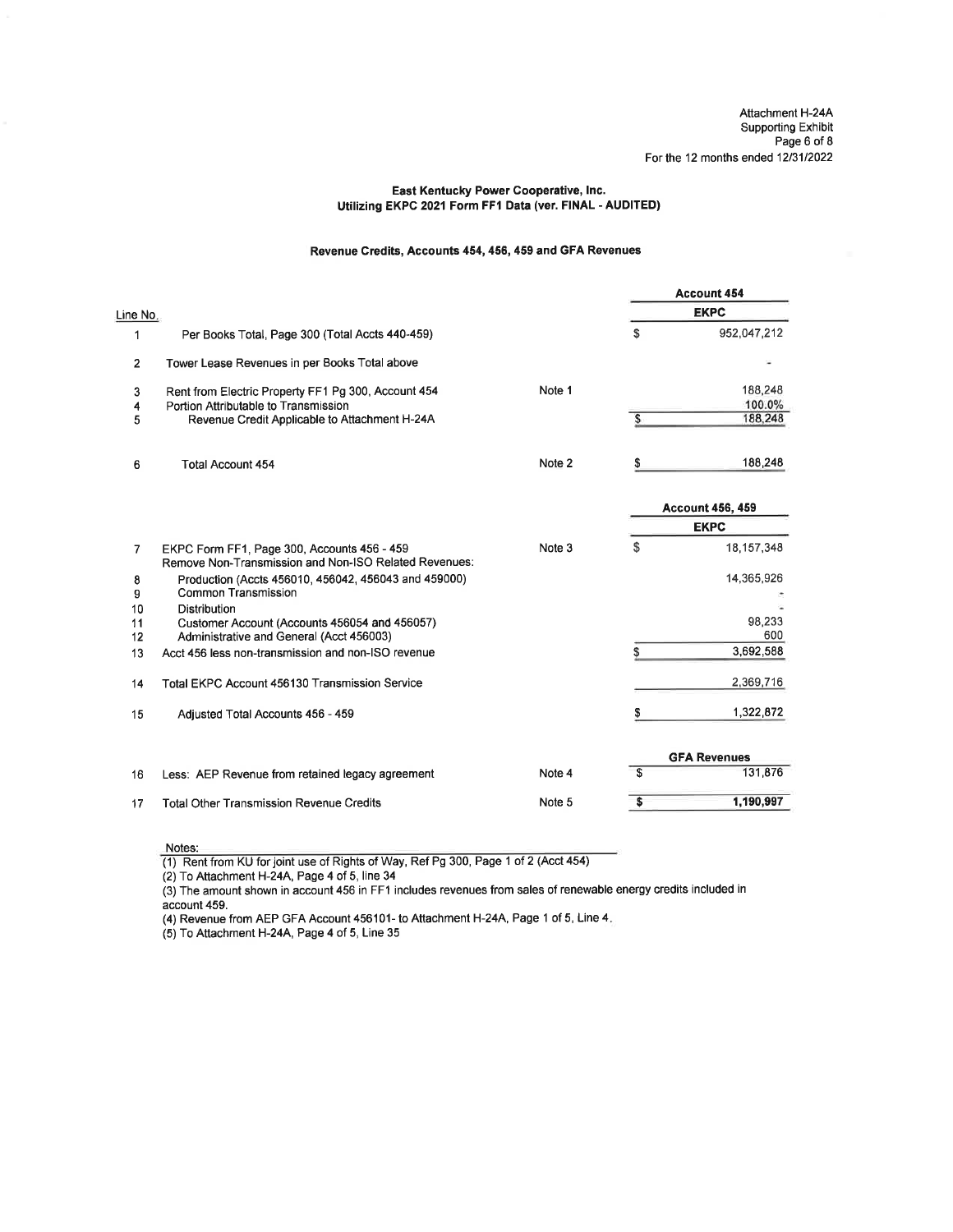### East Kentucky Power Cooperative, lnc. Utilizing EKPC 2021 Form FF1 Data (ver. FINAL - AUDITED)

### Revenue Credits, Accounts 454,456, 459 and GFA Revenues

|                |                                                                                                      |        |    | <b>Account 454</b>      |
|----------------|------------------------------------------------------------------------------------------------------|--------|----|-------------------------|
| Line No.       |                                                                                                      |        |    | <b>EKPC</b>             |
| 1              | Per Books Total, Page 300 (Total Accts 440-459)                                                      |        | S  | 952,047,212             |
| $\overline{2}$ | Tower Lease Revenues in per Books Total above                                                        |        |    |                         |
| 3              | Rent from Electric Property FF1 Pg 300, Account 454                                                  | Note 1 |    | 188,248                 |
| 4<br>5         | Portion Attributable to Transmission<br>Revenue Credit Applicable to Attachment H-24A                |        | S  | 100.0%<br>188,248       |
| 6              | <b>Total Account 454</b>                                                                             | Note 2 | \$ | 188,248                 |
|                |                                                                                                      |        |    | <b>Account 456, 459</b> |
|                |                                                                                                      |        |    | <b>EKPC</b>             |
| 7              | EKPC Form FF1, Page 300, Accounts 456 - 459<br>Remove Non-Transmission and Non-ISO Related Revenues: | Note 3 | \$ | 18,157,348              |
| 8<br>9         | Production (Accts 456010, 456042, 456043 and 459000)<br>Common Transmission                          |        |    | 14,365,926              |
| 10             | <b>Distribution</b>                                                                                  |        |    |                         |
| 11<br>12       | Customer Account (Accounts 456054 and 456057)<br>Administrative and General (Acct 456003)            |        |    | 98,233<br>600           |
| 13             | Acct 456 less non-transmission and non-ISO revenue                                                   |        | S  | 3,692,588               |
| 14             | <b>Total EKPC Account 456130 Transmission Service</b>                                                |        |    | 2,369,716               |
| 15             | Adjusted Total Accounts 456 - 459                                                                    |        | S  | 1,322,872               |
|                |                                                                                                      |        |    | <b>GFA Revenues</b>     |
| 16             | Less: AEP Revenue from retained legacy agreement                                                     | Note 4 | \$ | 131,876                 |
| 17             | <b>Total Other Transmission Revenue Credits</b>                                                      | Note 5 | \$ | 1,190,997               |

Notes:

(1) Rent from KU forjoint use of Rights of Way, Ref Pg 300, Page 1 of 2 (Acct 454)

(2) To Attachment H-24A, Page 4 of 5, line 34

(3) The amount shown in account 456 in FF1 includes revenues from sales of renewable energy credits included in account 459.

(4) Revenue from AEP GFA Account 456101- to Attachment H-24A, Page 1 of 5, Line 4.

 $(5)$  To Attachment H-24A, Page 4 of 5, Line 35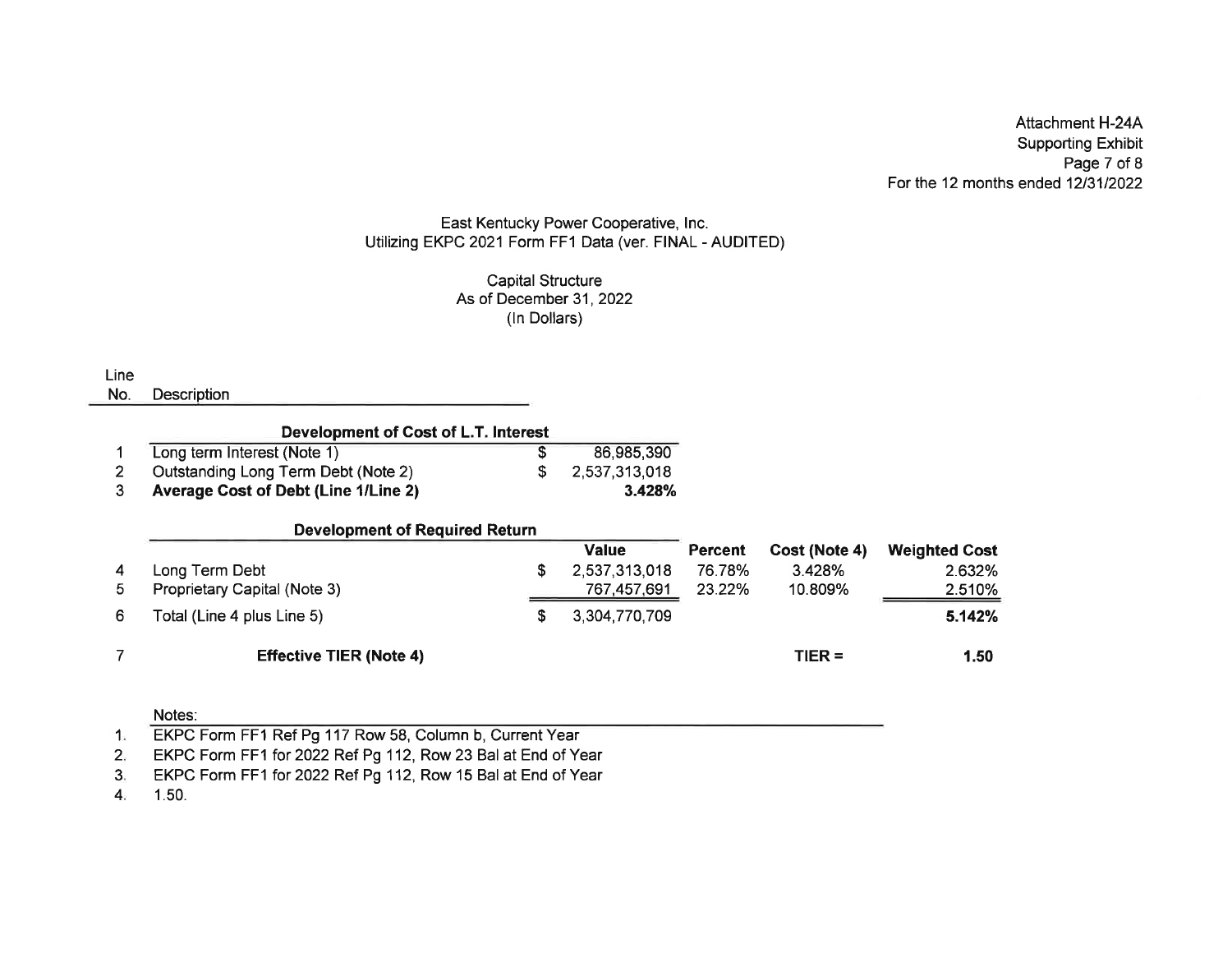Attachment H-244 Supporting ExhibitPage 7 of 8 For the 12 months ended 1213112022

### East Kentucky Power Cooperative, lnc.Utilizing EKPC 2021 Form FF1 Data (ver. FINAL - AUDITED

Capital StructureAs of December 31, 2022 (ln Dollars)

Line

No. Description

| Development of Cost of L.T. Interest        |  |               |  |  |  |
|---------------------------------------------|--|---------------|--|--|--|
| Long term Interest (Note 1)                 |  | 86,985,390    |  |  |  |
| Outstanding Long Term Debt (Note 2)         |  | 2,537,313,018 |  |  |  |
| <b>Average Cost of Debt (Line 1/Line 2)</b> |  | 3.428%        |  |  |  |

| <b>Development of Required Return</b> |  |
|---------------------------------------|--|
|---------------------------------------|--|

|                |                                | Value         | <b>Percent</b> | Cost (Note 4) | <b>Weighted Cost</b> |
|----------------|--------------------------------|---------------|----------------|---------------|----------------------|
| $\overline{4}$ | Long Term Debt                 | 2,537,313,018 | 76.78%         | 3.428%        | 2.632%               |
| 5.             | Proprietary Capital (Note 3)   | 767,457,691   | 23.22%         | 10.809%       | 2.510%               |
| 6              | Total (Line 4 plus Line 5)     | 3,304,770,709 |                |               | 5.142%               |
|                | <b>Effective TIER (Note 4)</b> |               |                | $TIER =$      | 1.50                 |

Notes:

EKPC Form FF1 for 2022 Ref Pg 112, Row 23 Bal at End of Year 2

EKPC Form FF1 for 2022 Ref Pg 112, Row 15 Bal at End of Year 3

1.50.4

<sup>1.</sup> EKPC Form FF1 Ref Pg 117 Row 58, Column b, Current Year